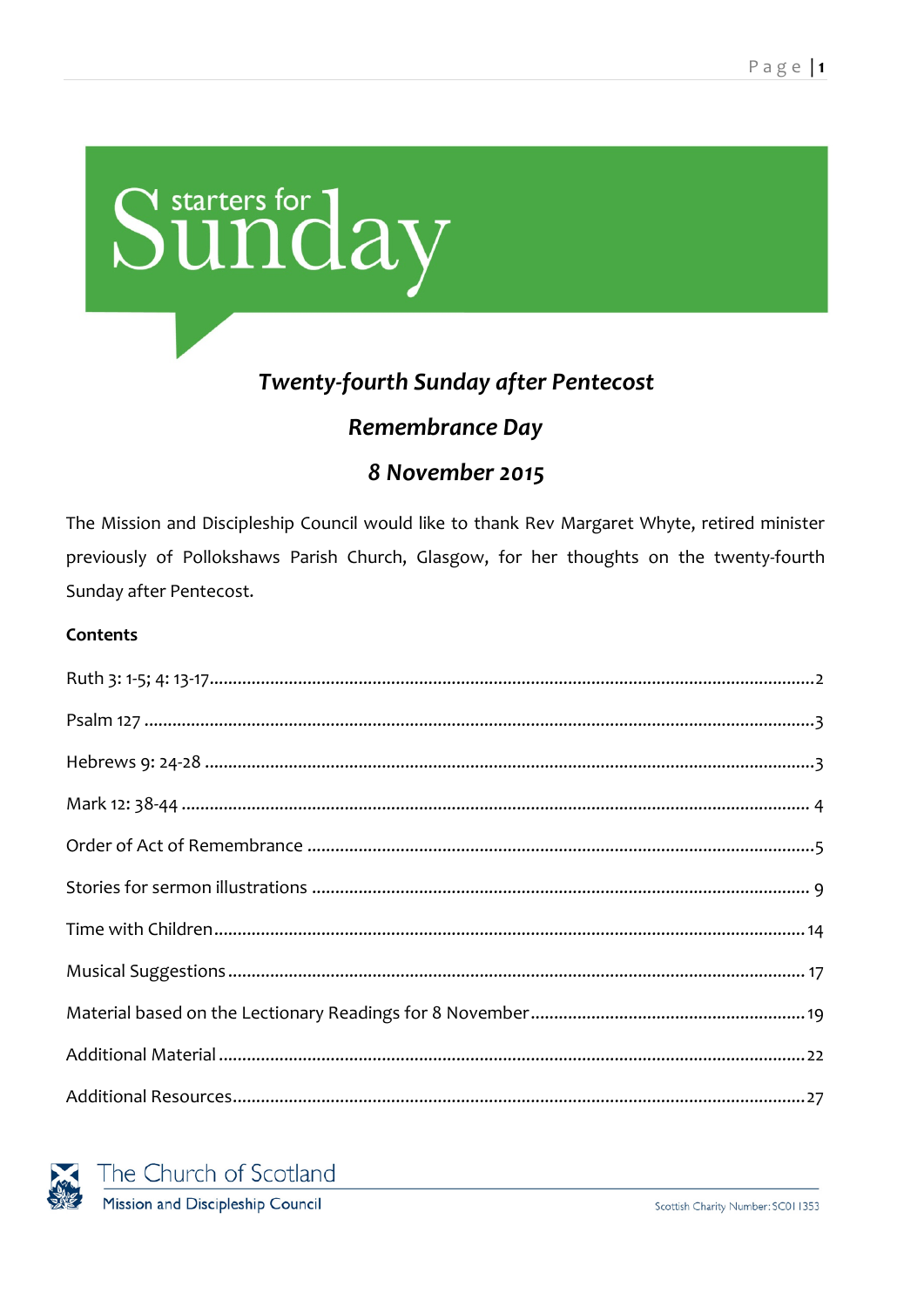

# **Twenty-fourth Sunday after Pentecost**

# **Remembrance Day**

# 8 November 2015

The Mission and Discipleship Council would like to thank Rev Margaret Whyte, retired minister previously of Pollokshaws Parish Church, Glasgow, for her thoughts on the twenty-fourth Sunday after Pentecost.

#### **Contents**

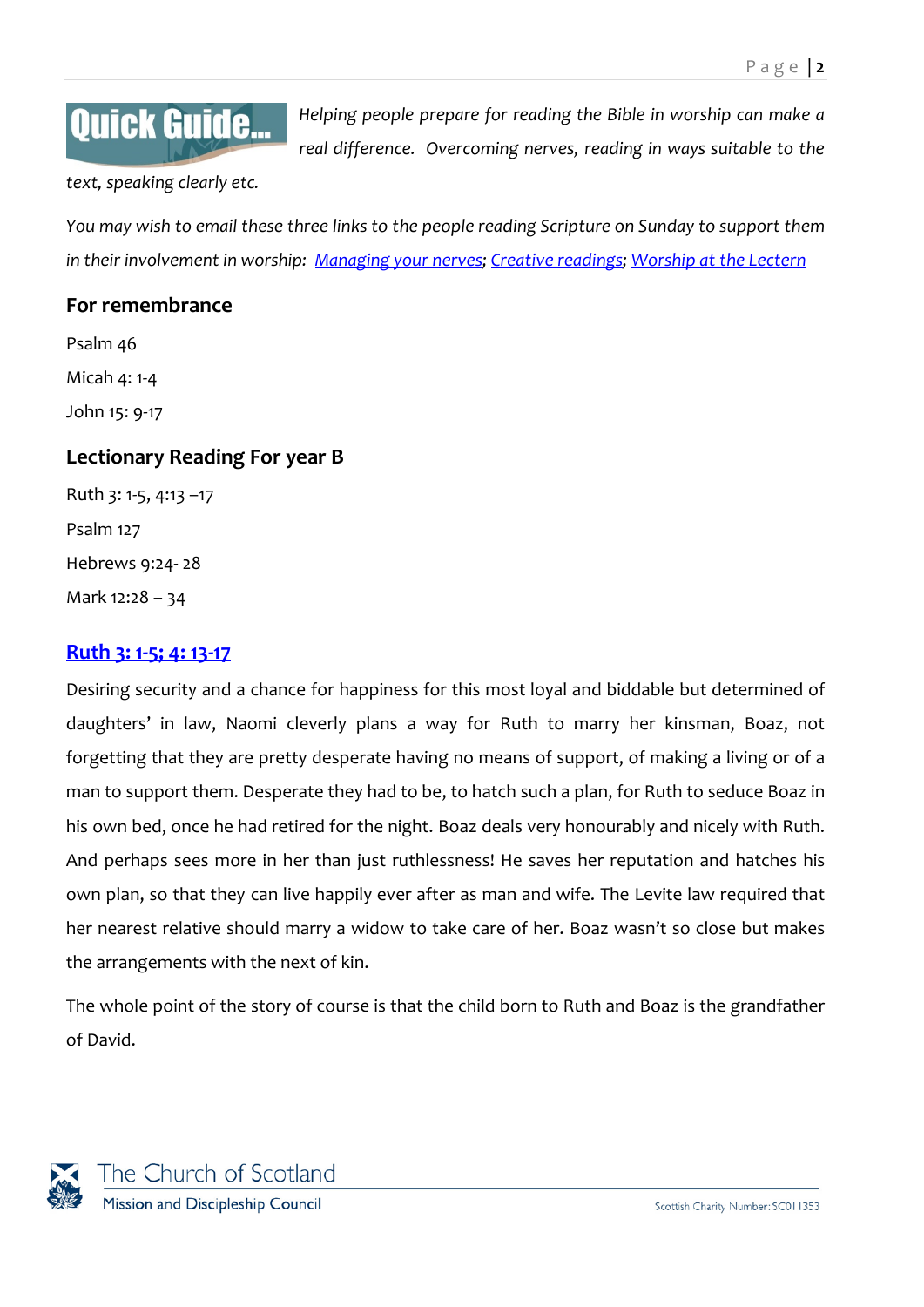# **Quick Guide...**

*Helping people prepare for reading the Bible in worship can make a real difference. Overcoming nerves, reading in ways suitable to the* 

*text, speaking clearly etc.*

*You may wish to email these three links to the people reading Scripture on Sunday to support them in their involvement in worship: [Managing your nerves;](http://www.resourcingmission.org.uk/resources/quick-guides/worship-practice?utm_source=Starters&utm_medium=pdf&utm_campaign=Starters) [Creative readings; Worship at the Lectern](https://www.resourcingmission.org.uk/resources/quick-guides/worship-practice?utm_source=Starters&utm_medium=pdf&utm_campaign=Starters)*

## **For remembrance**

Psalm 46 Micah 4: 1-4 John 15: 9-17

## **Lectionary Reading For year B**

Ruth 3: 1-5, 4:13 –17 Psalm 127 Hebrews 9:24- 28 Mark 12:28 – 34

## <span id="page-1-0"></span>**[Ruth 3: 1-5;](http://bible.oremus.org/?ql=302239903) 4: 13-17**

Desiring security and a chance for happiness for this most loyal and biddable but determined of daughters' in law, Naomi cleverly plans a way for Ruth to marry her kinsman, Boaz, not forgetting that they are pretty desperate having no means of support, of making a living or of a man to support them. Desperate they had to be, to hatch such a plan, for Ruth to seduce Boaz in his own bed, once he had retired for the night. Boaz deals very honourably and nicely with Ruth. And perhaps sees more in her than just ruthlessness! He saves her reputation and hatches his own plan, so that they can live happily ever after as man and wife. The Levite law required that her nearest relative should marry a widow to take care of her. Boaz wasn't so close but makes the arrangements with the next of kin.

The whole point of the story of course is that the child born to Ruth and Boaz is the grandfather of David.

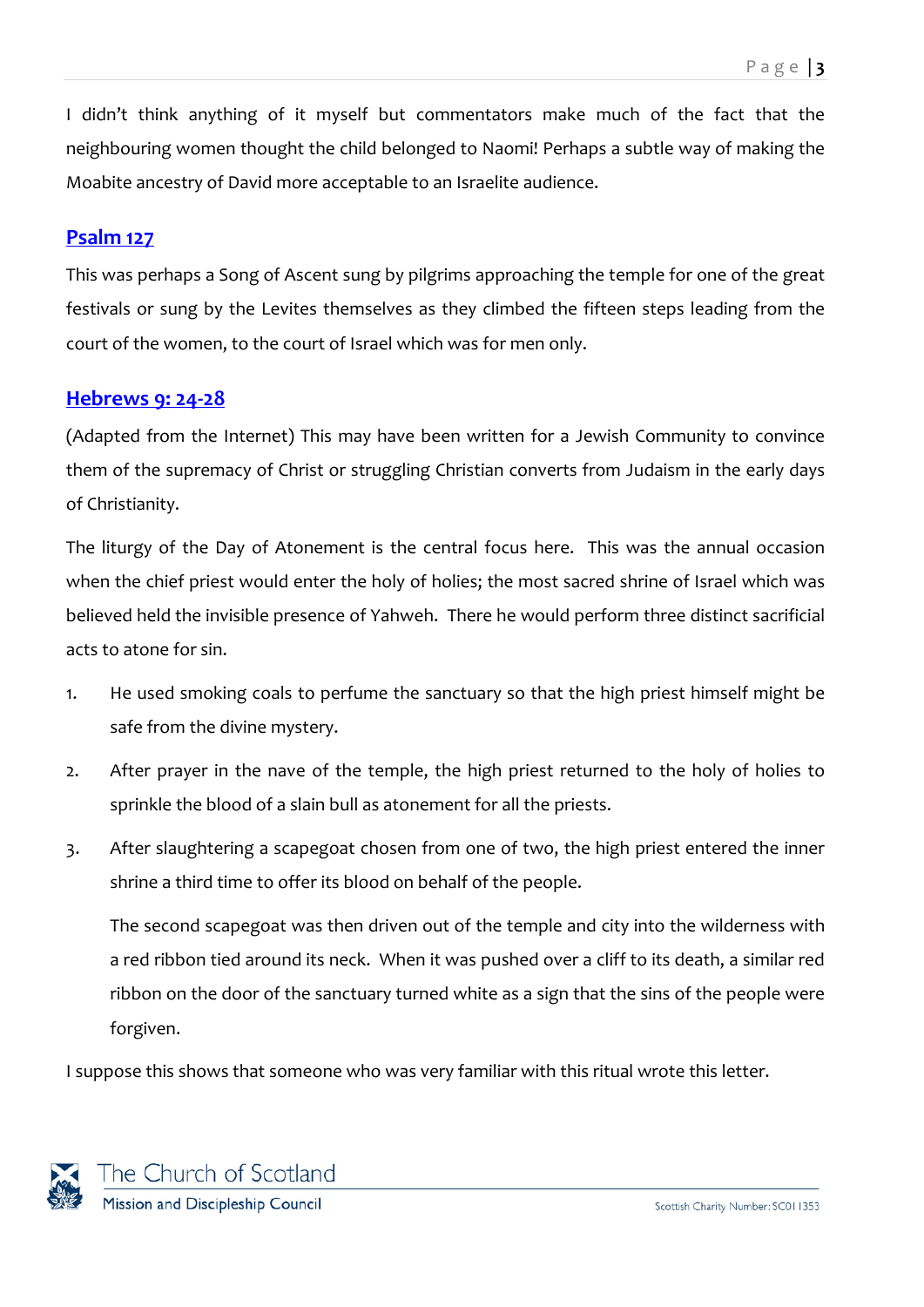I didn't think anything of it myself but commentators make much of the fact that the neighbouring women thought the child belonged to Naomi! Perhaps a subtle way of making the Moabite ancestry of David more acceptable to an Israelite audience.

## <span id="page-2-0"></span>**[Psalm](http://bible.oremus.org/?ql=302239965) 127**

This was perhaps a Song of Ascent sung by pilgrims approaching the temple for one of the great festivals or sung by the Levites themselves as they climbed the fifteen steps leading from the court of the women, to the court of Israel which was for men only.

## <span id="page-2-1"></span>**[Hebrews](http://bible.oremus.org/?ql=302239997) 9: 24-28**

(Adapted from the Internet) This may have been written for a Jewish Community to convince them of the supremacy of Christ or struggling Christian converts from Judaism in the early days of Christianity.

The liturgy of the Day of Atonement is the central focus here. This was the annual occasion when the chief priest would enter the holy of holies; the most sacred shrine of Israel which was believed held the invisible presence of Yahweh. There he would perform three distinct sacrificial acts to atone for sin.

- 1. He used smoking coals to perfume the sanctuary so that the high priest himself might be safe from the divine mystery.
- 2. After prayer in the nave of the temple, the high priest returned to the holy of holies to sprinkle the blood of a slain bull as atonement for all the priests.
- 3. After slaughtering a scapegoat chosen from one of two, the high priest entered the inner shrine a third time to offer its blood on behalf of the people.

The second scapegoat was then driven out of the temple and city into the wilderness with a red ribbon tied around its neck. When it was pushed over a cliff to its death, a similar red ribbon on the door of the sanctuary turned white as a sign that the sins of the people were forgiven.

I suppose this shows that someone who was very familiar with this ritual wrote this letter.

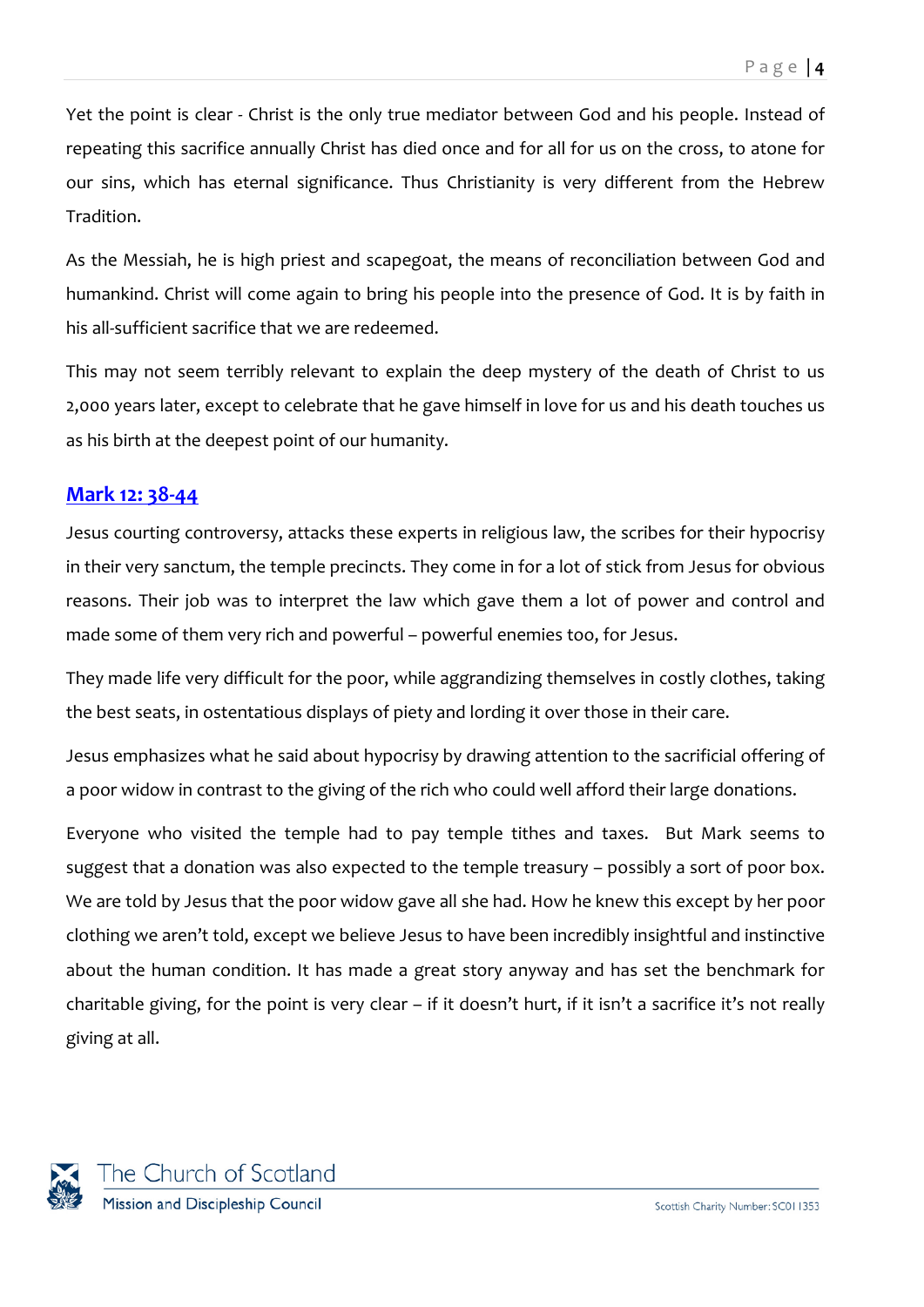Yet the point is clear - Christ is the only true mediator between God and his people. Instead of repeating this sacrifice annually Christ has died once and for all for us on the cross, to atone for our sins, which has eternal significance. Thus Christianity is very different from the Hebrew Tradition.

As the Messiah, he is high priest and scapegoat, the means of reconciliation between God and humankind. Christ will come again to bring his people into the presence of God. It is by faith in his all-sufficient sacrifice that we are redeemed.

This may not seem terribly relevant to explain the deep mystery of the death of Christ to us 2,000 years later, except to celebrate that he gave himself in love for us and his death touches us as his birth at the deepest point of our humanity.

# <span id="page-3-0"></span>**Mark 12: [38-44](http://bible.oremus.org/?ql=302240087)**

Jesus courting controversy, attacks these experts in religious law, the scribes for their hypocrisy in their very sanctum, the temple precincts. They come in for a lot of stick from Jesus for obvious reasons. Their job was to interpret the law which gave them a lot of power and control and made some of them very rich and powerful – powerful enemies too, for Jesus.

They made life very difficult for the poor, while aggrandizing themselves in costly clothes, taking the best seats, in ostentatious displays of piety and lording it over those in their care.

Jesus emphasizes what he said about hypocrisy by drawing attention to the sacrificial offering of a poor widow in contrast to the giving of the rich who could well afford their large donations.

Everyone who visited the temple had to pay temple tithes and taxes. But Mark seems to suggest that a donation was also expected to the temple treasury – possibly a sort of poor box. We are told by Jesus that the poor widow gave all she had. How he knew this except by her poor clothing we aren't told, except we believe Jesus to have been incredibly insightful and instinctive about the human condition. It has made a great story anyway and has set the benchmark for charitable giving, for the point is very clear – if it doesn't hurt, if it isn't a sacrifice it's not really giving at all.

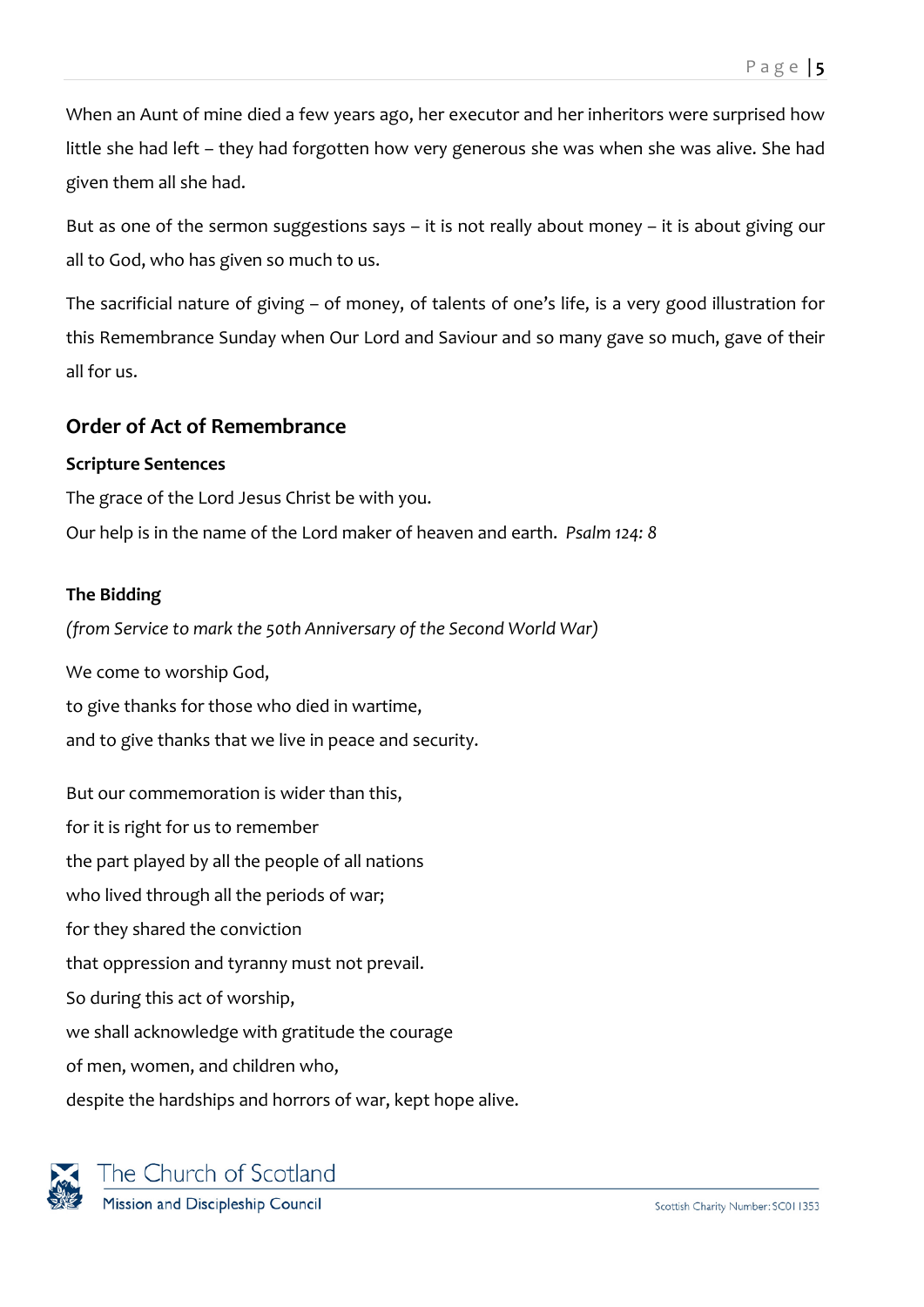When an Aunt of mine died a few years ago, her executor and her inheritors were surprised how little she had left – they had forgotten how very generous she was when she was alive. She had given them all she had.

But as one of the sermon suggestions says – it is not really about money – it is about giving our all to God, who has given so much to us.

The sacrificial nature of giving – of money, of talents of one's life, is a very good illustration for this Remembrance Sunday when Our Lord and Saviour and so many gave so much, gave of their all for us.

# <span id="page-4-0"></span>**Order of Act of Remembrance**

## **Scripture Sentences**

The grace of the Lord Jesus Christ be with you.

Our help is in the name of the Lord maker of heaven and earth. *Psalm 124: 8*

## **The Bidding**

*(from Service to mark the 50th Anniversary of the Second World War)*

We come to worship God, to give thanks for those who died in wartime, and to give thanks that we live in peace and security.

But our commemoration is wider than this, for it is right for us to remember the part played by all the people of all nations who lived through all the periods of war; for they shared the conviction that oppression and tyranny must not prevail. So during this act of worship, we shall acknowledge with gratitude the courage of men, women, and children who, despite the hardships and horrors of war, kept hope alive.

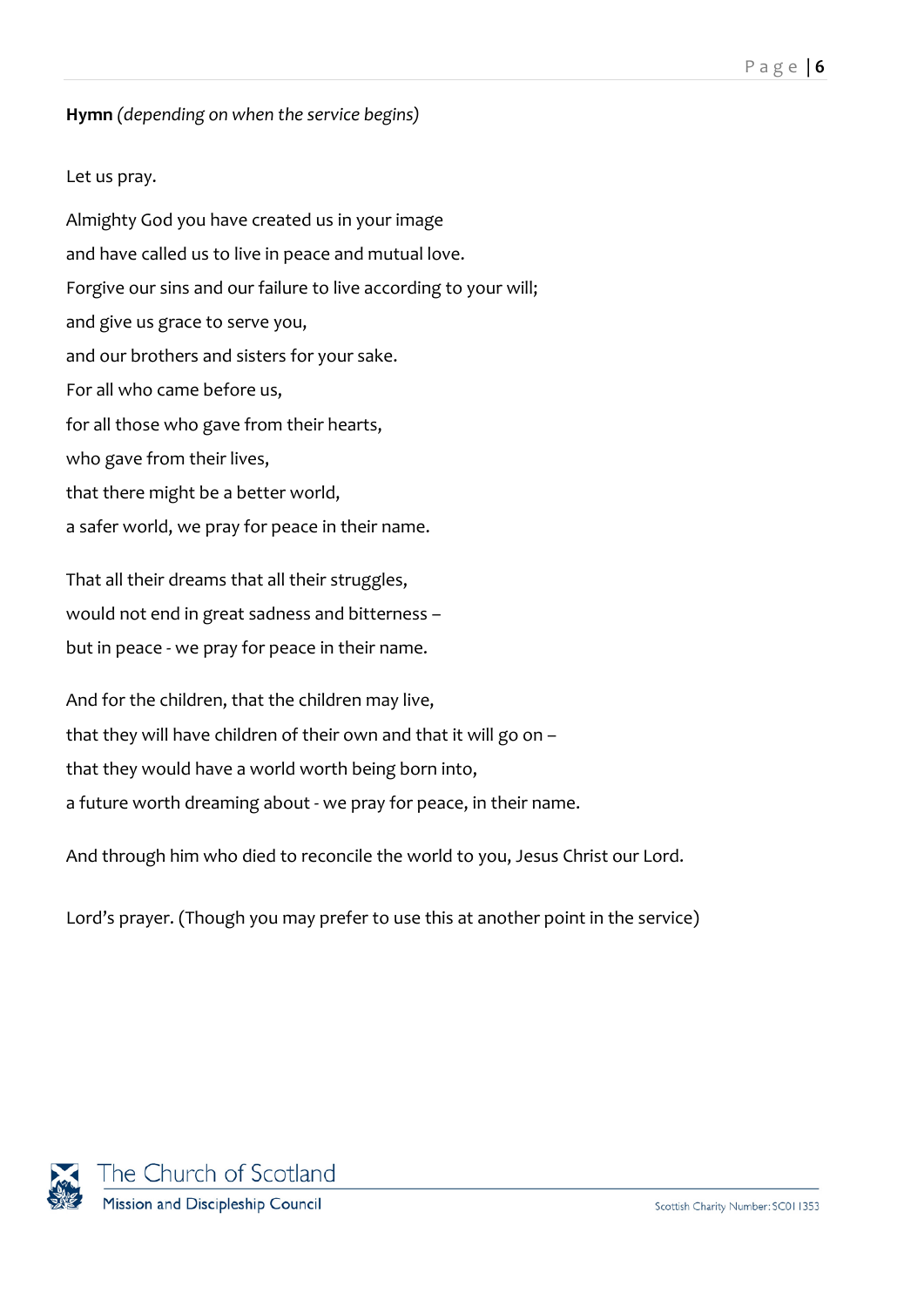## **Hymn** *(depending on when the service begins)*

## Let us pray.

Almighty God you have created us in your image and have called us to live in peace and mutual love. Forgive our sins and our failure to live according to your will; and give us grace to serve you, and our brothers and sisters for your sake. For all who came before us, for all those who gave from their hearts, who gave from their lives, that there might be a better world, a safer world, we pray for peace in their name.

That all their dreams that all their struggles, would not end in great sadness and bitterness – but in peace - we pray for peace in their name.

And for the children, that the children may live, that they will have children of their own and that it will go on – that they would have a world worth being born into, a future worth dreaming about - we pray for peace, in their name.

And through him who died to reconcile the world to you, Jesus Christ our Lord.

Lord's prayer. (Though you may prefer to use this at another point in the service)

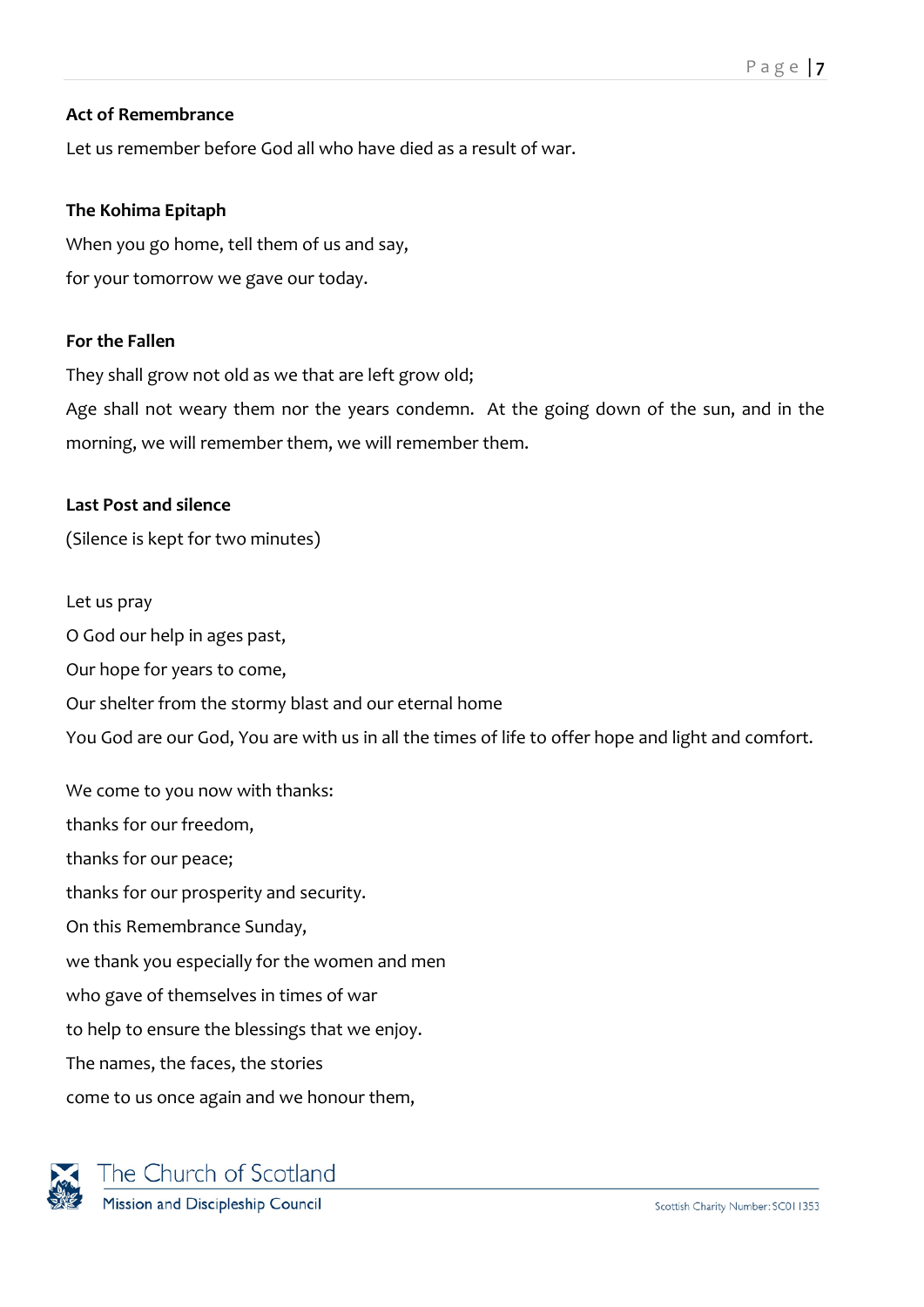## **Act of Remembrance**

Let us remember before God all who have died as a result of war.

## **The Kohima Epitaph**

When you go home, tell them of us and say, for your tomorrow we gave our today.

## **For the Fallen**

They shall grow not old as we that are left grow old;

Age shall not weary them nor the years condemn. At the going down of the sun, and in the morning, we will remember them, we will remember them.

## **Last Post and silence**

(Silence is kept for two minutes)

Let us pray O God our help in ages past, Our hope for years to come, Our shelter from the stormy blast and our eternal home You God are our God, You are with us in all the times of life to offer hope and light and comfort.

We come to you now with thanks: thanks for our freedom, thanks for our peace; thanks for our prosperity and security. On this Remembrance Sunday, we thank you especially for the women and men who gave of themselves in times of war to help to ensure the blessings that we enjoy. The names, the faces, the stories come to us once again and we honour them,

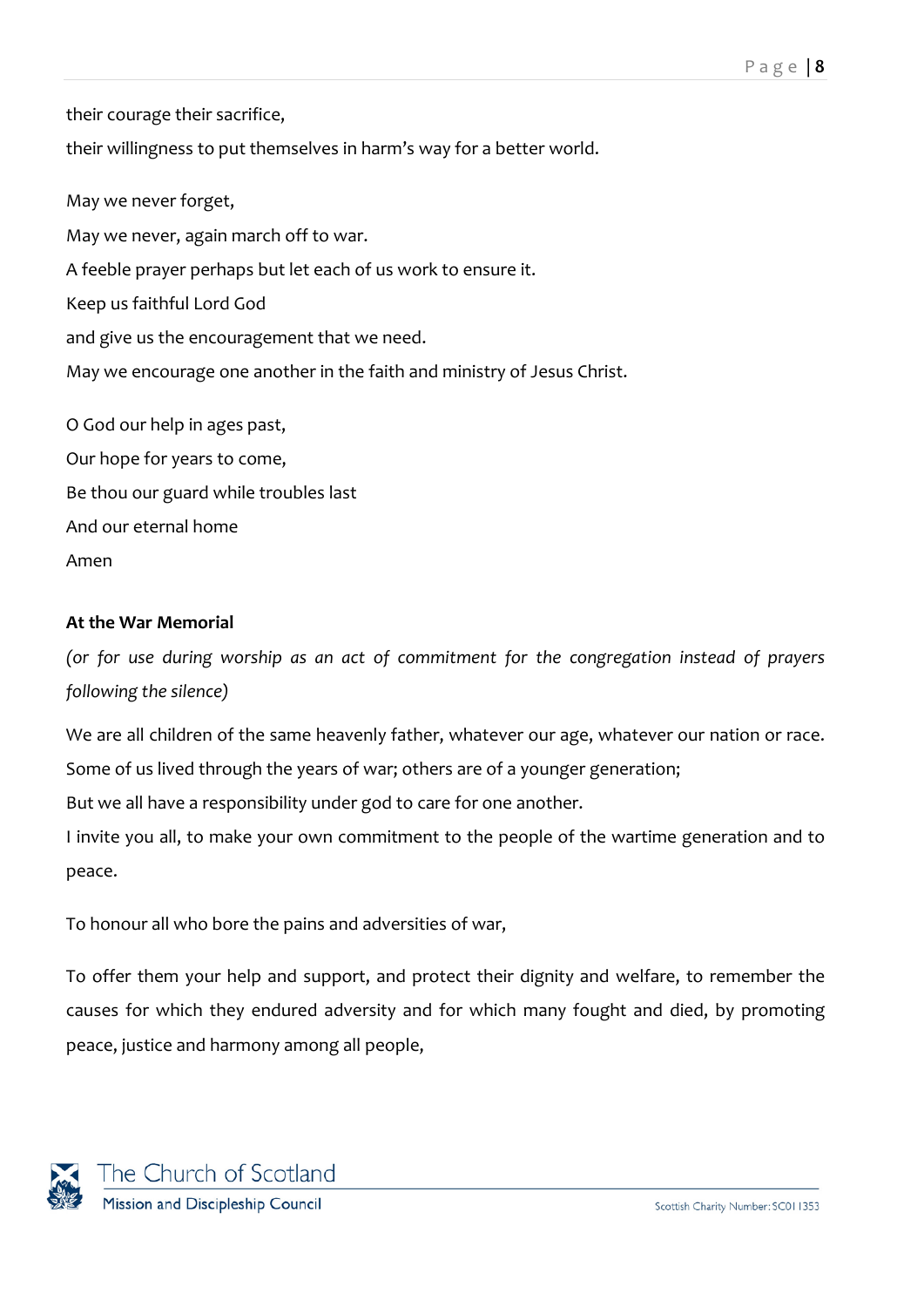their courage their sacrifice,

their willingness to put themselves in harm's way for a better world.

May we never forget, May we never, again march off to war. A feeble prayer perhaps but let each of us work to ensure it. Keep us faithful Lord God and give us the encouragement that we need. May we encourage one another in the faith and ministry of Jesus Christ. O God our help in ages past,

Our hope for years to come, Be thou our guard while troubles last And our eternal home Amen

## **At the War Memorial**

*(or for use during worship as an act of commitment for the congregation instead of prayers following the silence)*

We are all children of the same heavenly father, whatever our age, whatever our nation or race.

Some of us lived through the years of war; others are of a younger generation;

But we all have a responsibility under god to care for one another.

I invite you all, to make your own commitment to the people of the wartime generation and to peace.

To honour all who bore the pains and adversities of war,

To offer them your help and support, and protect their dignity and welfare, to remember the causes for which they endured adversity and for which many fought and died, by promoting peace, justice and harmony among all people,

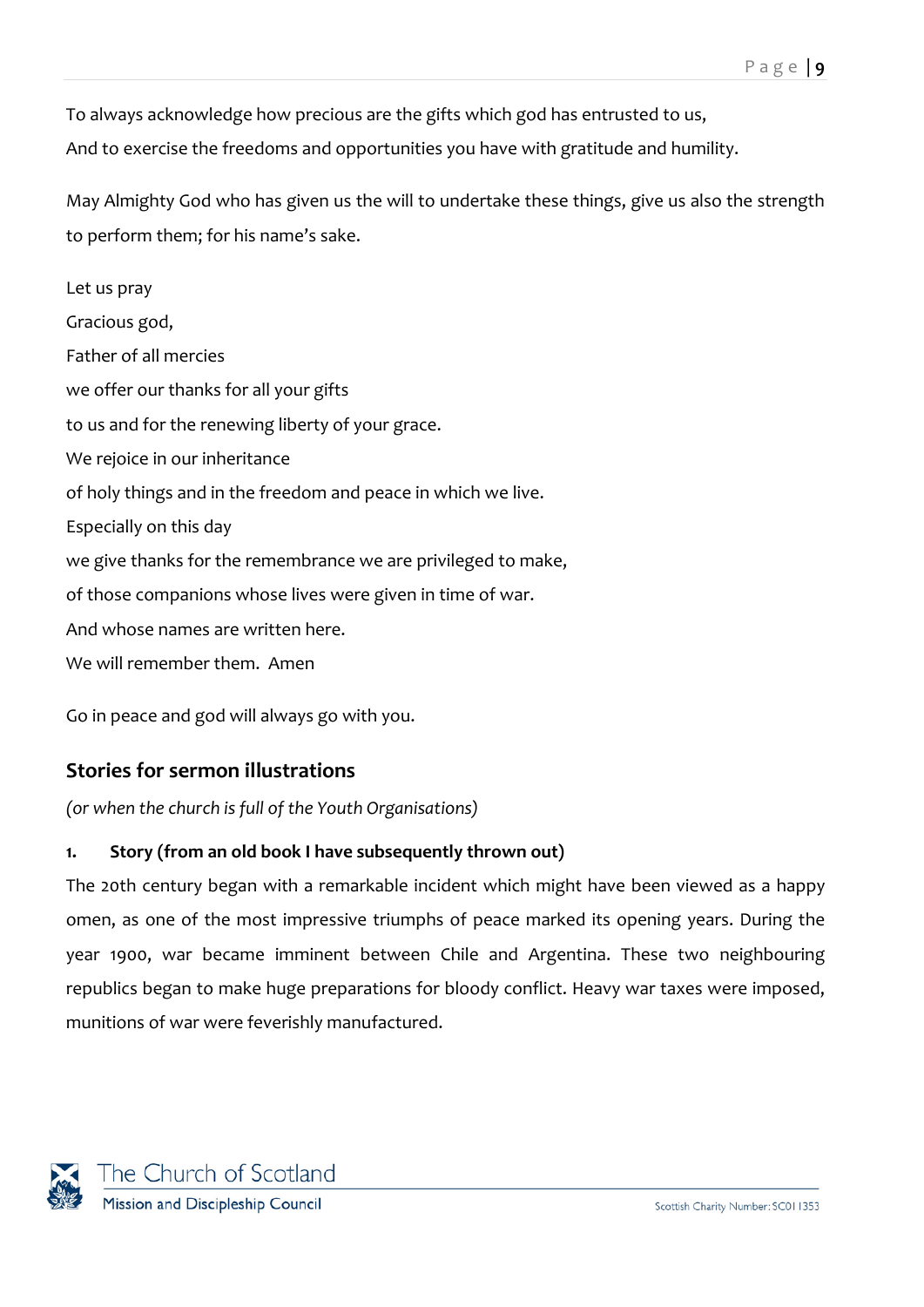To always acknowledge how precious are the gifts which god has entrusted to us, And to exercise the freedoms and opportunities you have with gratitude and humility.

May Almighty God who has given us the will to undertake these things, give us also the strength to perform them; for his name's sake.

Let us pray Gracious god, Father of all mercies we offer our thanks for all your gifts to us and for the renewing liberty of your grace. We rejoice in our inheritance of holy things and in the freedom and peace in which we live. Especially on this day we give thanks for the remembrance we are privileged to make, of those companions whose lives were given in time of war. And whose names are written here. We will remember them. Amen

Go in peace and god will always go with you.

# <span id="page-8-0"></span>**Stories for sermon illustrations**

*(or when the church is full of the Youth Organisations)*

## **1. Story (from an old book I have subsequently thrown out)**

The 20th century began with a remarkable incident which might have been viewed as a happy omen, as one of the most impressive triumphs of peace marked its opening years. During the year 1900, war became imminent between Chile and Argentina. These two neighbouring republics began to make huge preparations for bloody conflict. Heavy war taxes were imposed, munitions of war were feverishly manufactured.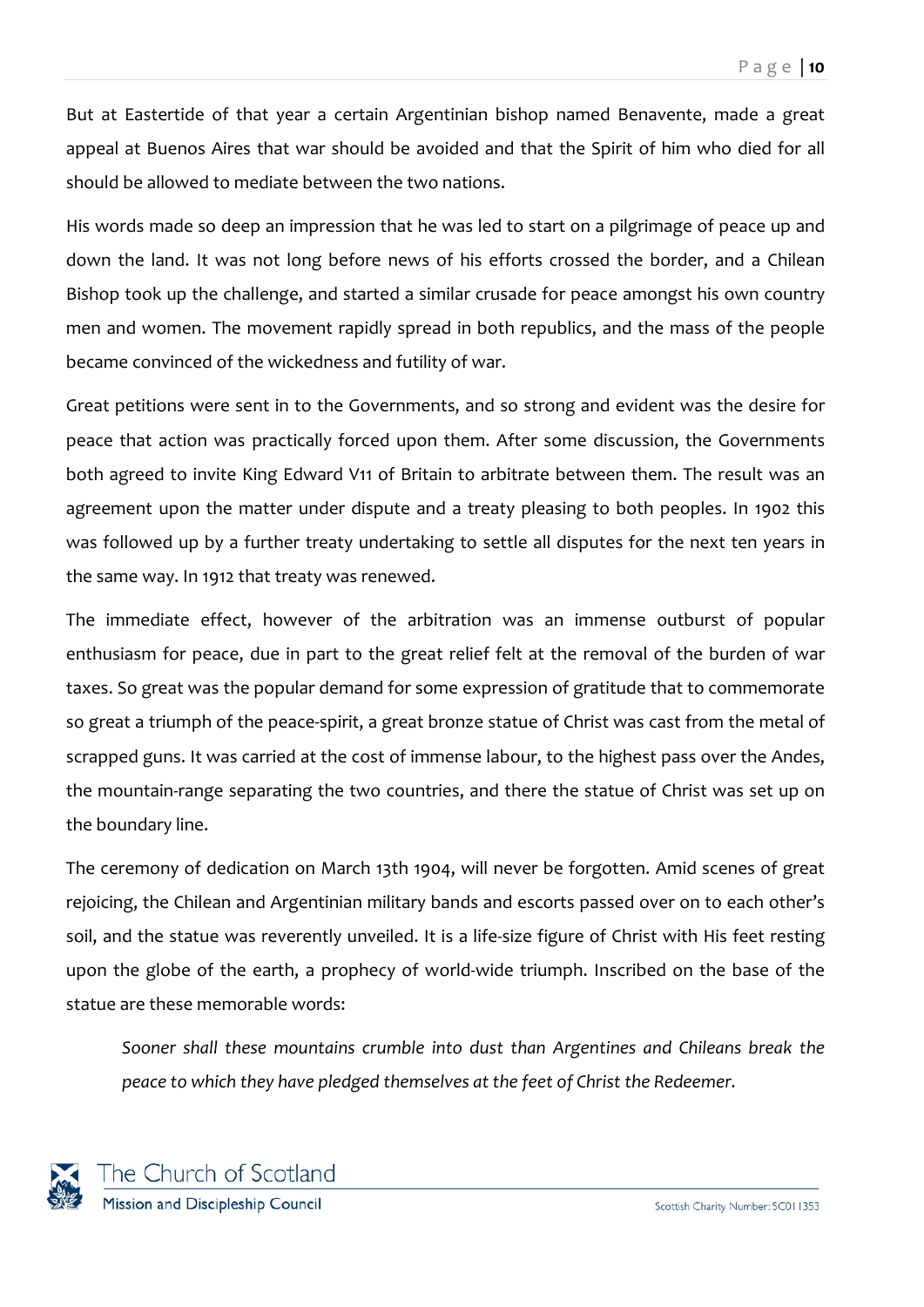But at Eastertide of that year a certain Argentinian bishop named Benavente, made a great appeal at Buenos Aires that war should be avoided and that the Spirit of him who died for all should be allowed to mediate between the two nations.

His words made so deep an impression that he was led to start on a pilgrimage of peace up and down the land. It was not long before news of his efforts crossed the border, and a Chilean Bishop took up the challenge, and started a similar crusade for peace amongst his own country men and women. The movement rapidly spread in both republics, and the mass of the people became convinced of the wickedness and futility of war.

Great petitions were sent in to the Governments, and so strong and evident was the desire for peace that action was practically forced upon them. After some discussion, the Governments both agreed to invite King Edward V11 of Britain to arbitrate between them. The result was an agreement upon the matter under dispute and a treaty pleasing to both peoples. In 1902 this was followed up by a further treaty undertaking to settle all disputes for the next ten years in the same way. In 1912 that treaty was renewed.

The immediate effect, however of the arbitration was an immense outburst of popular enthusiasm for peace, due in part to the great relief felt at the removal of the burden of war taxes. So great was the popular demand for some expression of gratitude that to commemorate so great a triumph of the peace-spirit, a great bronze statue of Christ was cast from the metal of scrapped guns. It was carried at the cost of immense labour, to the highest pass over the Andes, the mountain-range separating the two countries, and there the statue of Christ was set up on the boundary line.

The ceremony of dedication on March 13th 1904, will never be forgotten. Amid scenes of great rejoicing, the Chilean and Argentinian military bands and escorts passed over on to each other's soil, and the statue was reverently unveiled. It is a life-size figure of Christ with His feet resting upon the globe of the earth, a prophecy of world-wide triumph. Inscribed on the base of the statue are these memorable words:

*Sooner shall these mountains crumble into dust than Argentines and Chileans break the peace to which they have pledged themselves at the feet of Christ the Redeemer.*

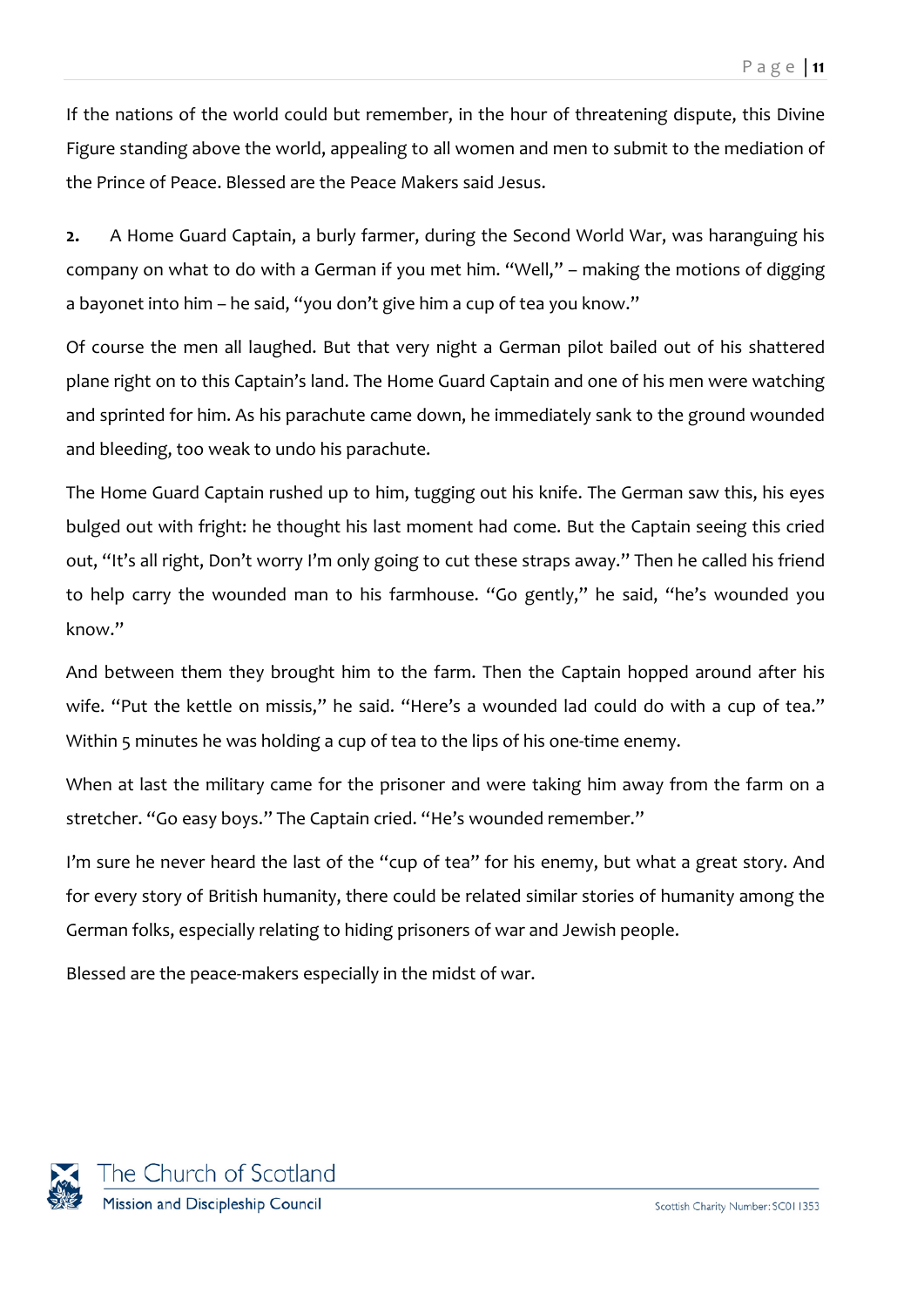If the nations of the world could but remember, in the hour of threatening dispute, this Divine Figure standing above the world, appealing to all women and men to submit to the mediation of the Prince of Peace. Blessed are the Peace Makers said Jesus.

**2.** A Home Guard Captain, a burly farmer, during the Second World War, was haranguing his company on what to do with a German if you met him. "Well," – making the motions of digging a bayonet into him – he said, "you don't give him a cup of tea you know."

Of course the men all laughed. But that very night a German pilot bailed out of his shattered plane right on to this Captain's land. The Home Guard Captain and one of his men were watching and sprinted for him. As his parachute came down, he immediately sank to the ground wounded and bleeding, too weak to undo his parachute.

The Home Guard Captain rushed up to him, tugging out his knife. The German saw this, his eyes bulged out with fright: he thought his last moment had come. But the Captain seeing this cried out, "It's all right, Don't worry I'm only going to cut these straps away." Then he called his friend to help carry the wounded man to his farmhouse. "Go gently," he said, "he's wounded you know."

And between them they brought him to the farm. Then the Captain hopped around after his wife. "Put the kettle on missis," he said. "Here's a wounded lad could do with a cup of tea." Within 5 minutes he was holding a cup of tea to the lips of his one-time enemy.

When at last the military came for the prisoner and were taking him away from the farm on a stretcher. "Go easy boys." The Captain cried. "He's wounded remember."

I'm sure he never heard the last of the "cup of tea" for his enemy, but what a great story. And for every story of British humanity, there could be related similar stories of humanity among the German folks, especially relating to hiding prisoners of war and Jewish people.

Blessed are the peace-makers especially in the midst of war.

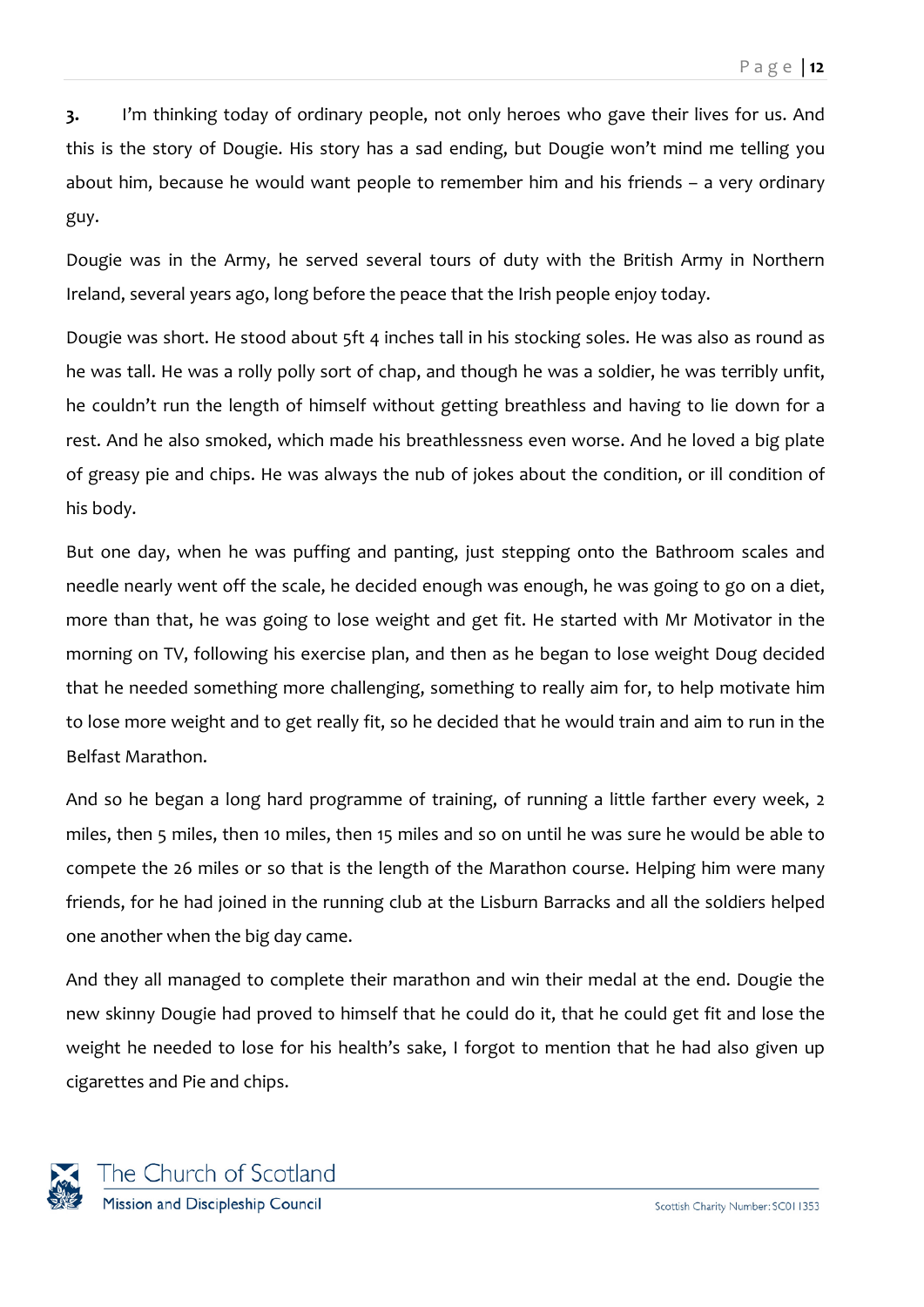**3.** I'm thinking today of ordinary people, not only heroes who gave their lives for us. And this is the story of Dougie. His story has a sad ending, but Dougie won't mind me telling you about him, because he would want people to remember him and his friends – a very ordinary guy.

Dougie was in the Army, he served several tours of duty with the British Army in Northern Ireland, several years ago, long before the peace that the Irish people enjoy today.

Dougie was short. He stood about 5ft 4 inches tall in his stocking soles. He was also as round as he was tall. He was a rolly polly sort of chap, and though he was a soldier, he was terribly unfit, he couldn't run the length of himself without getting breathless and having to lie down for a rest. And he also smoked, which made his breathlessness even worse. And he loved a big plate of greasy pie and chips. He was always the nub of jokes about the condition, or ill condition of his body.

But one day, when he was puffing and panting, just stepping onto the Bathroom scales and needle nearly went off the scale, he decided enough was enough, he was going to go on a diet, more than that, he was going to lose weight and get fit. He started with Mr Motivator in the morning on TV, following his exercise plan, and then as he began to lose weight Doug decided that he needed something more challenging, something to really aim for, to help motivate him to lose more weight and to get really fit, so he decided that he would train and aim to run in the Belfast Marathon.

And so he began a long hard programme of training, of running a little farther every week, 2 miles, then 5 miles, then 10 miles, then 15 miles and so on until he was sure he would be able to compete the 26 miles or so that is the length of the Marathon course. Helping him were many friends, for he had joined in the running club at the Lisburn Barracks and all the soldiers helped one another when the big day came.

And they all managed to complete their marathon and win their medal at the end. Dougie the new skinny Dougie had proved to himself that he could do it, that he could get fit and lose the weight he needed to lose for his health's sake, I forgot to mention that he had also given up cigarettes and Pie and chips.

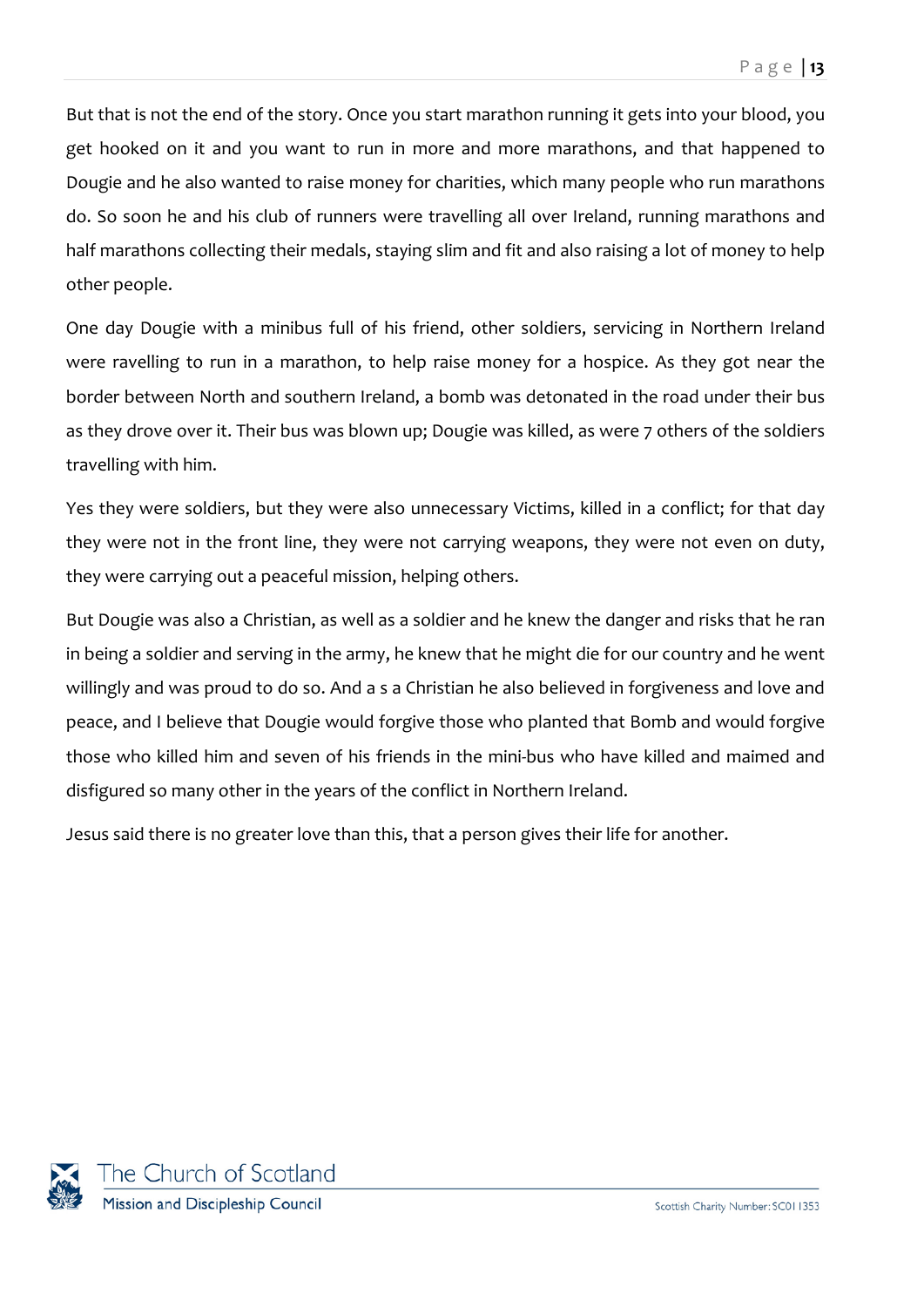But that is not the end of the story. Once you start marathon running it gets into your blood, you get hooked on it and you want to run in more and more marathons, and that happened to Dougie and he also wanted to raise money for charities, which many people who run marathons do. So soon he and his club of runners were travelling all over Ireland, running marathons and half marathons collecting their medals, staying slim and fit and also raising a lot of money to help other people.

One day Dougie with a minibus full of his friend, other soldiers, servicing in Northern Ireland were ravelling to run in a marathon, to help raise money for a hospice. As they got near the border between North and southern Ireland, a bomb was detonated in the road under their bus as they drove over it. Their bus was blown up; Dougie was killed, as were 7 others of the soldiers travelling with him.

Yes they were soldiers, but they were also unnecessary Victims, killed in a conflict; for that day they were not in the front line, they were not carrying weapons, they were not even on duty, they were carrying out a peaceful mission, helping others.

But Dougie was also a Christian, as well as a soldier and he knew the danger and risks that he ran in being a soldier and serving in the army, he knew that he might die for our country and he went willingly and was proud to do so. And a s a Christian he also believed in forgiveness and love and peace, and I believe that Dougie would forgive those who planted that Bomb and would forgive those who killed him and seven of his friends in the mini-bus who have killed and maimed and disfigured so many other in the years of the conflict in Northern Ireland.

Jesus said there is no greater love than this, that a person gives their life for another.

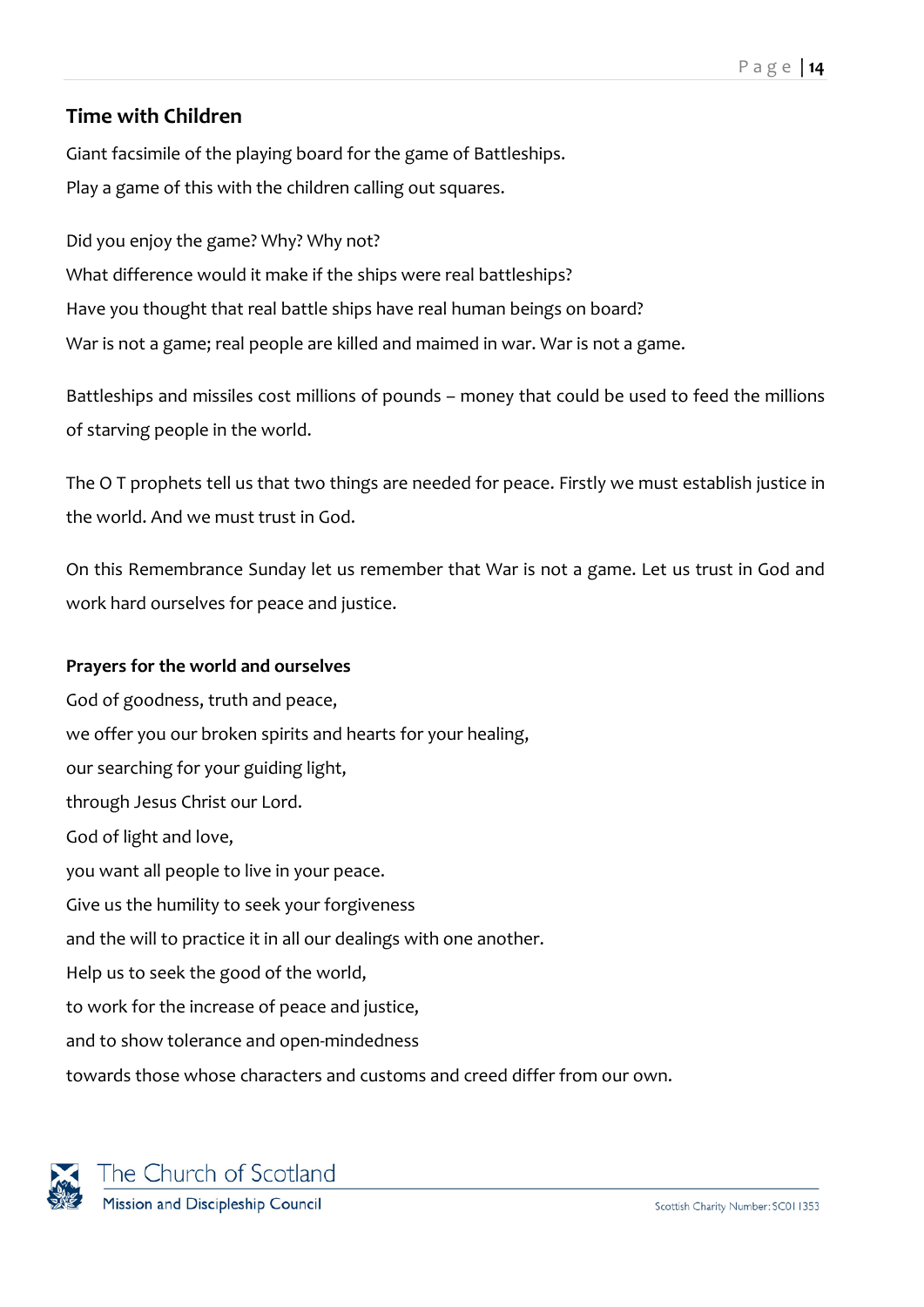## <span id="page-13-0"></span>**Time with Children**

Giant facsimile of the playing board for the game of Battleships. Play a game of this with the children calling out squares.

Did you enjoy the game? Why? Why not? What difference would it make if the ships were real battleships? Have you thought that real battle ships have real human beings on board? War is not a game; real people are killed and maimed in war. War is not a game.

Battleships and missiles cost millions of pounds – money that could be used to feed the millions of starving people in the world.

The O T prophets tell us that two things are needed for peace. Firstly we must establish justice in the world. And we must trust in God.

On this Remembrance Sunday let us remember that War is not a game. Let us trust in God and work hard ourselves for peace and justice.

## **Prayers for the world and ourselves**

God of goodness, truth and peace, we offer you our broken spirits and hearts for your healing, our searching for your guiding light, through Jesus Christ our Lord. God of light and love, you want all people to live in your peace. Give us the humility to seek your forgiveness and the will to practice it in all our dealings with one another. Help us to seek the good of the world, to work for the increase of peace and justice, and to show tolerance and open-mindedness towards those whose characters and customs and creed differ from our own.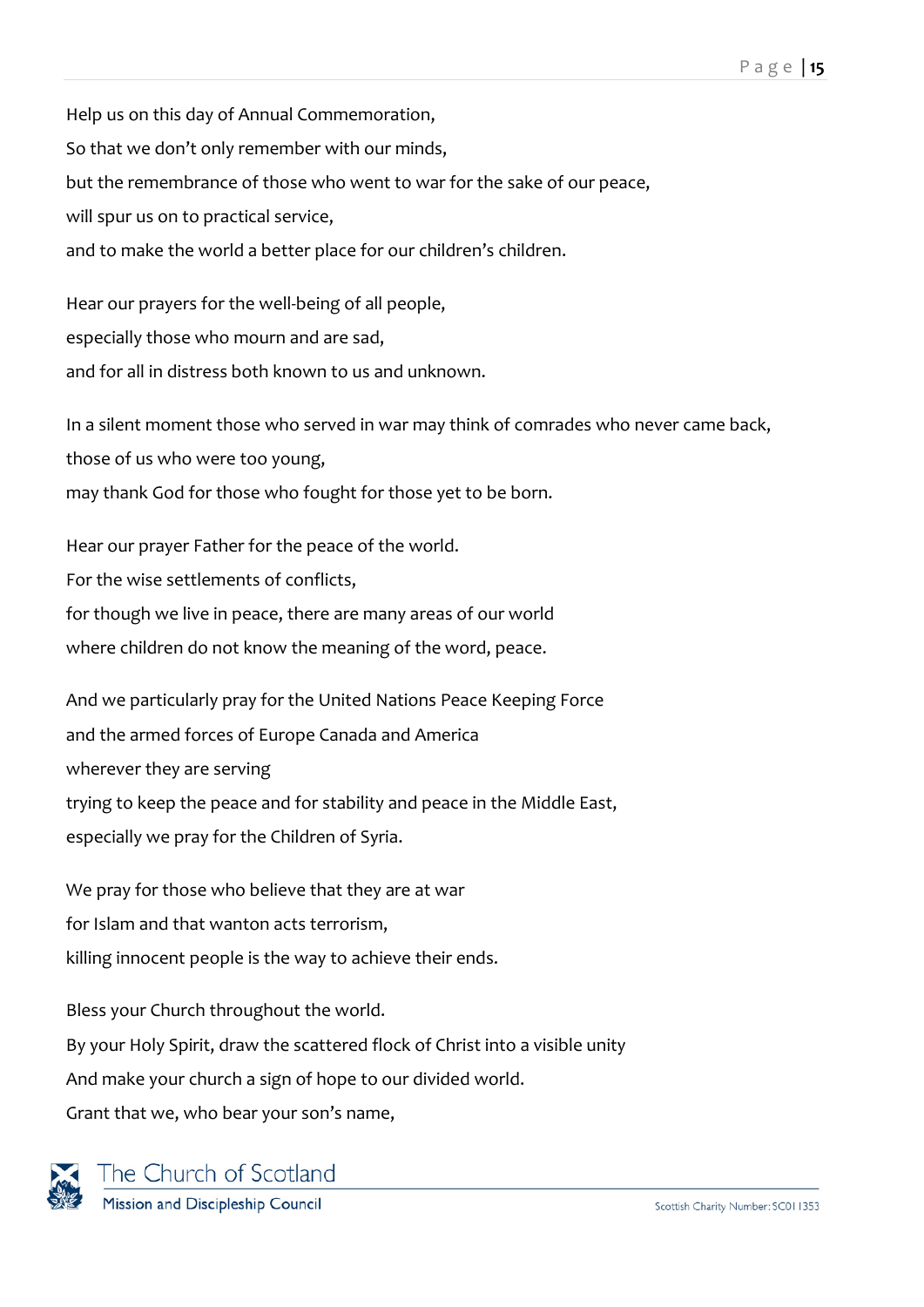Help us on this day of Annual Commemoration, So that we don't only remember with our minds, but the remembrance of those who went to war for the sake of our peace, will spur us on to practical service, and to make the world a better place for our children's children.

Hear our prayers for the well-being of all people, especially those who mourn and are sad, and for all in distress both known to us and unknown.

In a silent moment those who served in war may think of comrades who never came back, those of us who were too young, may thank God for those who fought for those yet to be born.

Hear our prayer Father for the peace of the world. For the wise settlements of conflicts, for though we live in peace, there are many areas of our world where children do not know the meaning of the word, peace.

And we particularly pray for the United Nations Peace Keeping Force and the armed forces of Europe Canada and America wherever they are serving trying to keep the peace and for stability and peace in the Middle East, especially we pray for the Children of Syria.

We pray for those who believe that they are at war for Islam and that wanton acts terrorism, killing innocent people is the way to achieve their ends.

Bless your Church throughout the world. By your Holy Spirit, draw the scattered flock of Christ into a visible unity And make your church a sign of hope to our divided world. Grant that we, who bear your son's name,



The Church of Scotland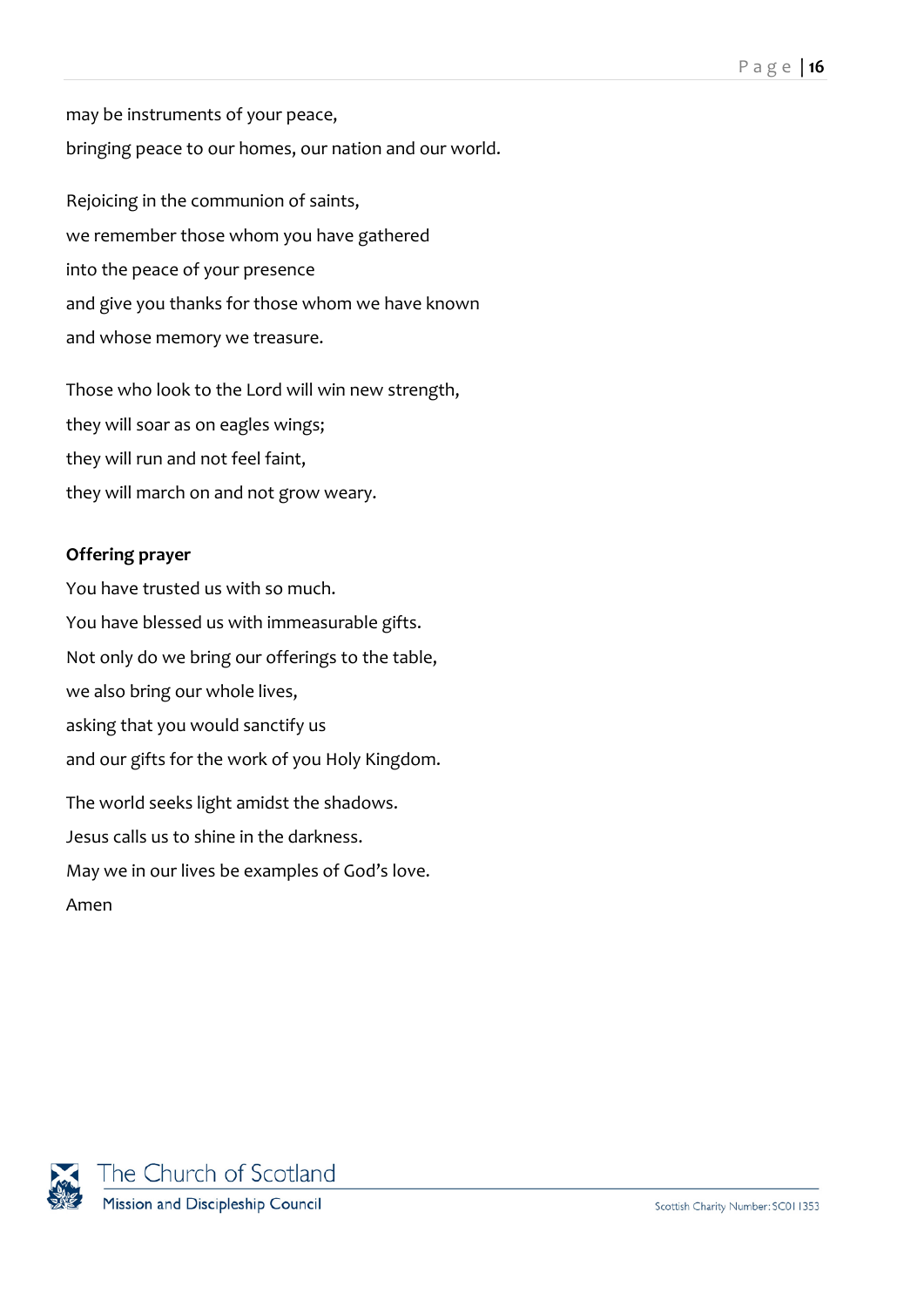may be instruments of your peace, bringing peace to our homes, our nation and our world.

Rejoicing in the communion of saints, we remember those whom you have gathered into the peace of your presence and give you thanks for those whom we have known and whose memory we treasure.

Those who look to the Lord will win new strength, they will soar as on eagles wings; they will run and not feel faint, they will march on and not grow weary.

## **Offering prayer**

You have trusted us with so much. You have blessed us with immeasurable gifts. Not only do we bring our offerings to the table, we also bring our whole lives, asking that you would sanctify us and our gifts for the work of you Holy Kingdom. The world seeks light amidst the shadows. Jesus calls us to shine in the darkness. May we in our lives be examples of God's love. Amen

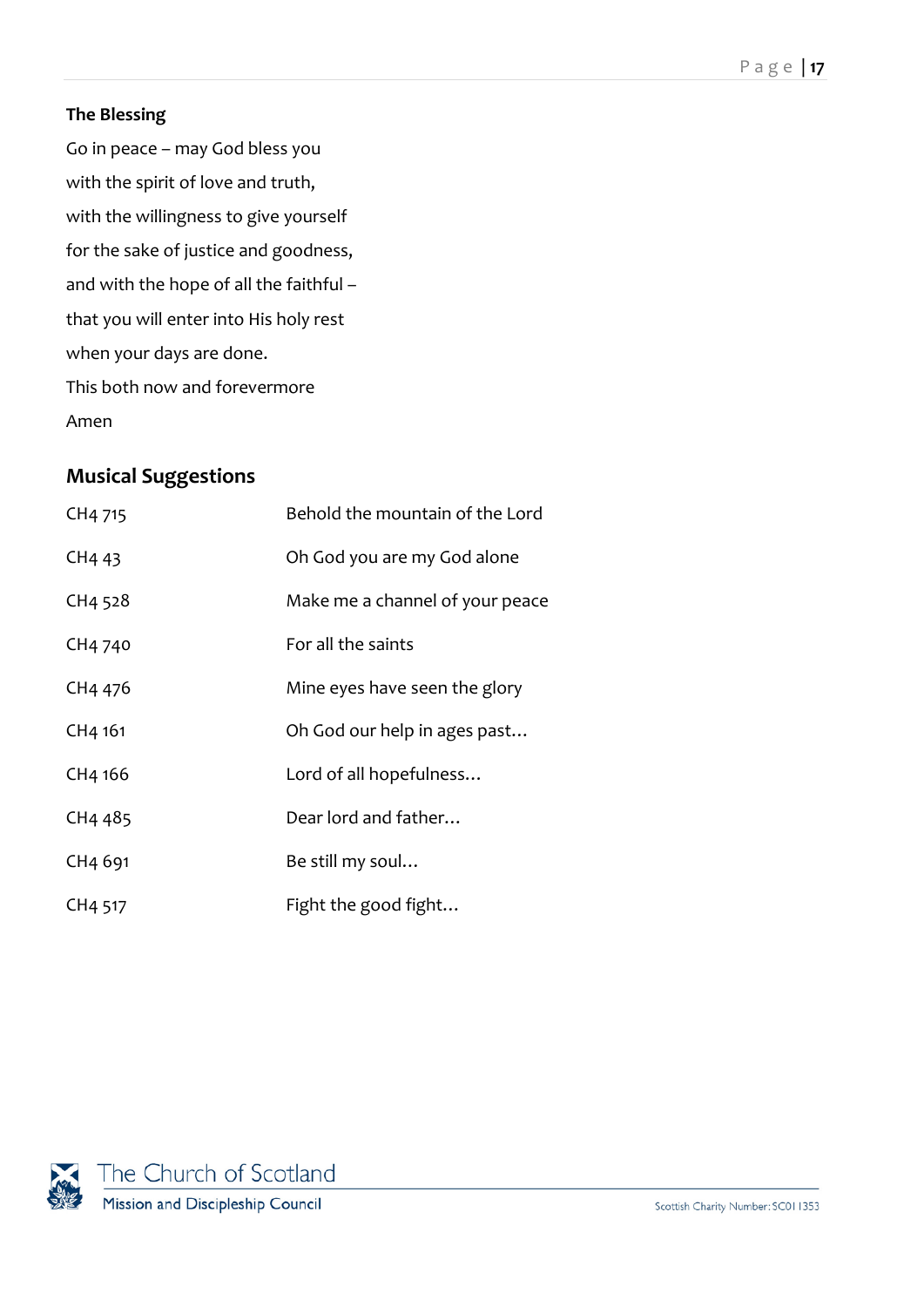## **The Blessing**

Go in peace – may God bless you with the spirit of love and truth, with the willingness to give yourself for the sake of justice and goodness, and with the hope of all the faithful – that you will enter into His holy rest when your days are done. This both now and forevermore Amen

# <span id="page-16-0"></span>**Musical Suggestions**

| CH4 715             | Behold the mountain of the Lord |
|---------------------|---------------------------------|
| CH <sub>4</sub> 43  | Oh God you are my God alone     |
| CH4 528             | Make me a channel of your peace |
| CH4 740             | For all the saints              |
| CH4 476             | Mine eyes have seen the glory   |
| CH4 161             | Oh God our help in ages past    |
| CH4 166             | Lord of all hopefulness         |
| CH4 485             | Dear lord and father            |
| CH <sub>4</sub> 691 | Be still my soul                |
| CH4 517             | Fight the good fight            |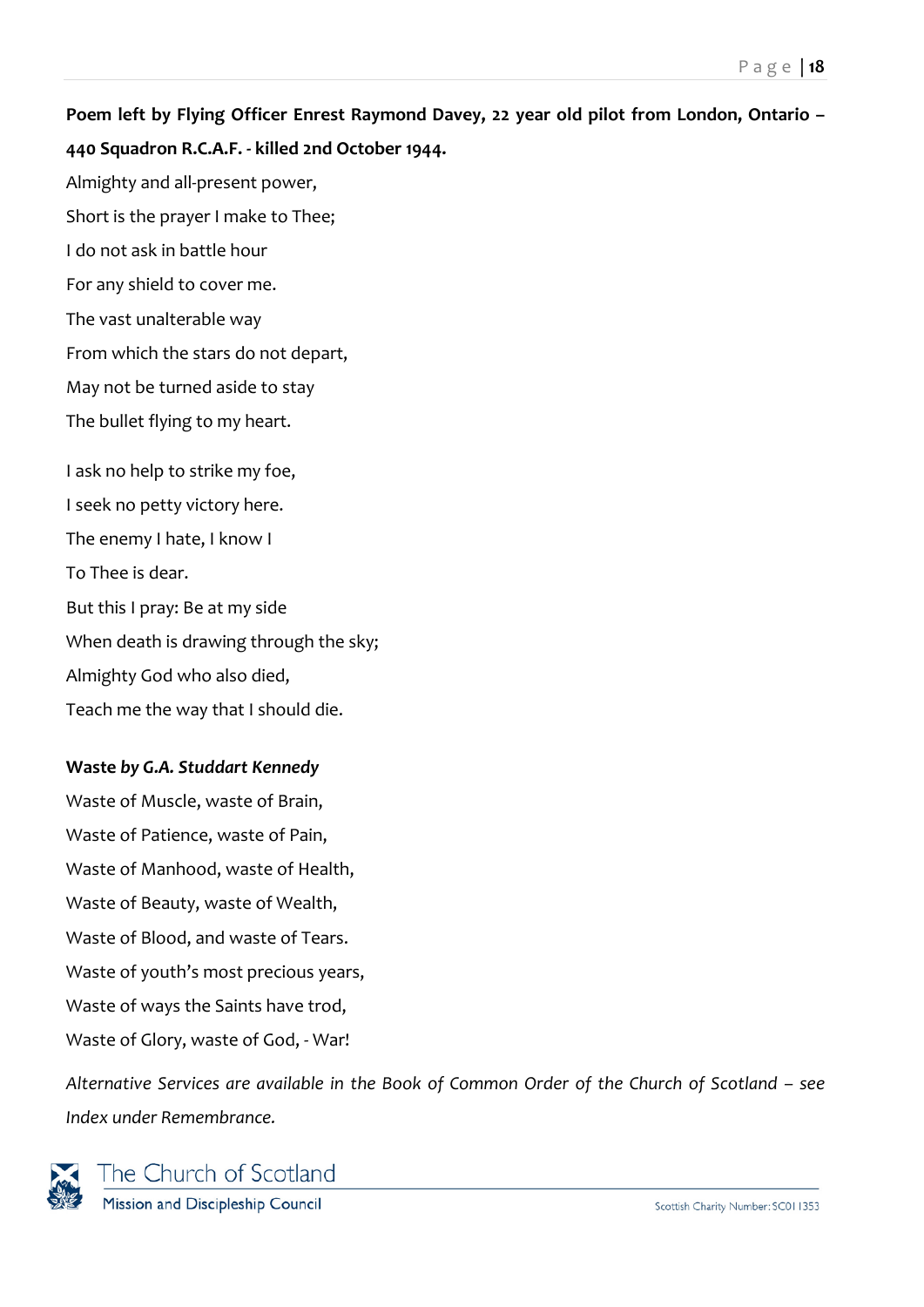**Poem left by Flying Officer Enrest Raymond Davey, 22 year old pilot from London, Ontario – 440 Squadron R.C.A.F. - killed 2nd October 1944.** Almighty and all-present power, Short is the prayer I make to Thee; I do not ask in battle hour For any shield to cover me. The vast unalterable way From which the stars do not depart, May not be turned aside to stay The bullet flying to my heart. I ask no help to strike my foe, I seek no petty victory here. The enemy I hate, I know I To Thee is dear. But this I pray: Be at my side When death is drawing through the sky; Almighty God who also died,

Teach me the way that I should die.

## **Waste** *by G.A. Studdart Kennedy*

Waste of Muscle, waste of Brain, Waste of Patience, waste of Pain, Waste of Manhood, waste of Health, Waste of Beauty, waste of Wealth, Waste of Blood, and waste of Tears. Waste of youth's most precious years, Waste of ways the Saints have trod, Waste of Glory, waste of God, - War!

*Alternative Services are available in the Book of Common Order of the Church of Scotland – see Index under Remembrance.*



The Church of Scotland Mission and Discipleship Council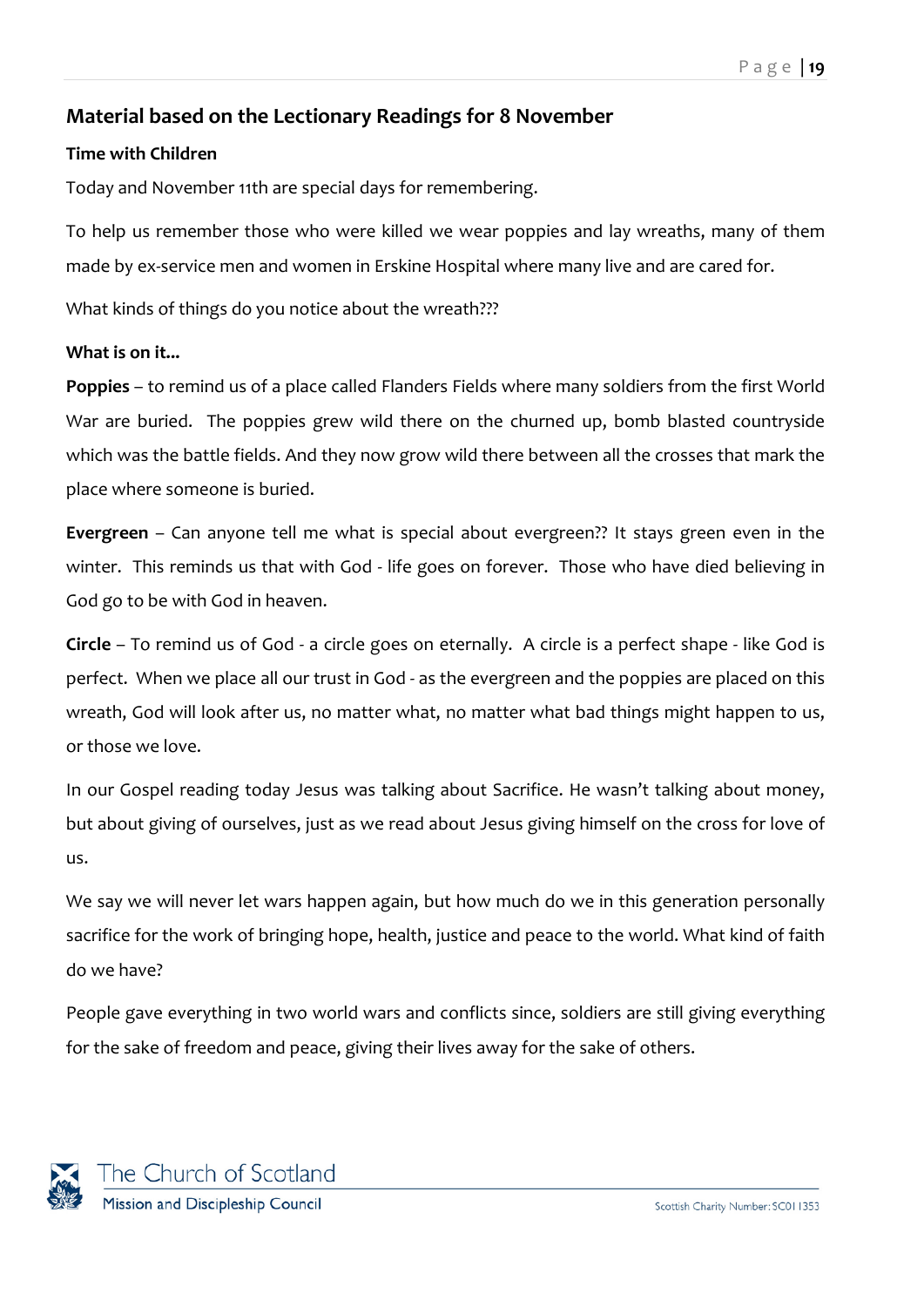## <span id="page-18-0"></span>**Material based on the Lectionary Readings for 8 November**

#### **Time with Children**

Today and November 11th are special days for remembering.

To help us remember those who were killed we wear poppies and lay wreaths, many of them made by ex-service men and women in Erskine Hospital where many live and are cared for.

What kinds of things do you notice about the wreath???

#### **What is on it...**

**Poppies** – to remind us of a place called Flanders Fields where many soldiers from the first World War are buried. The poppies grew wild there on the churned up, bomb blasted countryside which was the battle fields. And they now grow wild there between all the crosses that mark the place where someone is buried.

**Evergreen** – Can anyone tell me what is special about evergreen?? It stays green even in the winter. This reminds us that with God - life goes on forever. Those who have died believing in God go to be with God in heaven.

**Circle** – To remind us of God - a circle goes on eternally. A circle is a perfect shape - like God is perfect. When we place all our trust in God - as the evergreen and the poppies are placed on this wreath, God will look after us, no matter what, no matter what bad things might happen to us, or those we love.

In our Gospel reading today Jesus was talking about Sacrifice. He wasn't talking about money, but about giving of ourselves, just as we read about Jesus giving himself on the cross for love of us.

We say we will never let wars happen again, but how much do we in this generation personally sacrifice for the work of bringing hope, health, justice and peace to the world. What kind of faith do we have?

People gave everything in two world wars and conflicts since, soldiers are still giving everything for the sake of freedom and peace, giving their lives away for the sake of others.

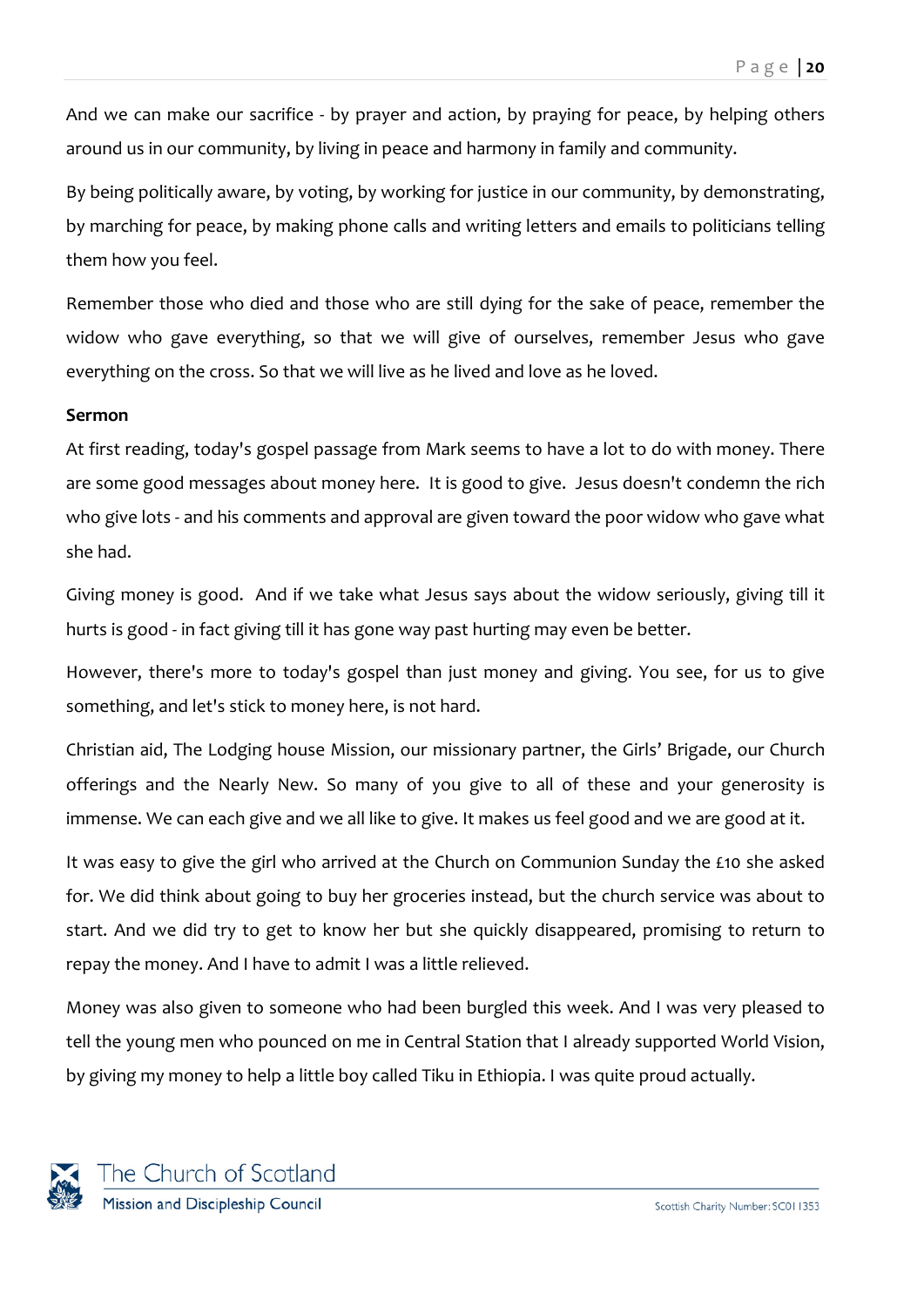And we can make our sacrifice - by prayer and action, by praying for peace, by helping others around us in our community, by living in peace and harmony in family and community.

By being politically aware, by voting, by working for justice in our community, by demonstrating, by marching for peace, by making phone calls and writing letters and emails to politicians telling them how you feel.

Remember those who died and those who are still dying for the sake of peace, remember the widow who gave everything, so that we will give of ourselves, remember Jesus who gave everything on the cross. So that we will live as he lived and love as he loved.

#### **Sermon**

At first reading, today's gospel passage from Mark seems to have a lot to do with money. There are some good messages about money here. It is good to give. Jesus doesn't condemn the rich who give lots - and his comments and approval are given toward the poor widow who gave what she had.

Giving money is good. And if we take what Jesus says about the widow seriously, giving till it hurts is good - in fact giving till it has gone way past hurting may even be better.

However, there's more to today's gospel than just money and giving. You see, for us to give something, and let's stick to money here, is not hard.

Christian aid, The Lodging house Mission, our missionary partner, the Girls' Brigade, our Church offerings and the Nearly New. So many of you give to all of these and your generosity is immense. We can each give and we all like to give. It makes us feel good and we are good at it.

It was easy to give the girl who arrived at the Church on Communion Sunday the £10 she asked for. We did think about going to buy her groceries instead, but the church service was about to start. And we did try to get to know her but she quickly disappeared, promising to return to repay the money. And I have to admit I was a little relieved.

Money was also given to someone who had been burgled this week. And I was very pleased to tell the young men who pounced on me in Central Station that I already supported World Vision, by giving my money to help a little boy called Tiku in Ethiopia. I was quite proud actually.

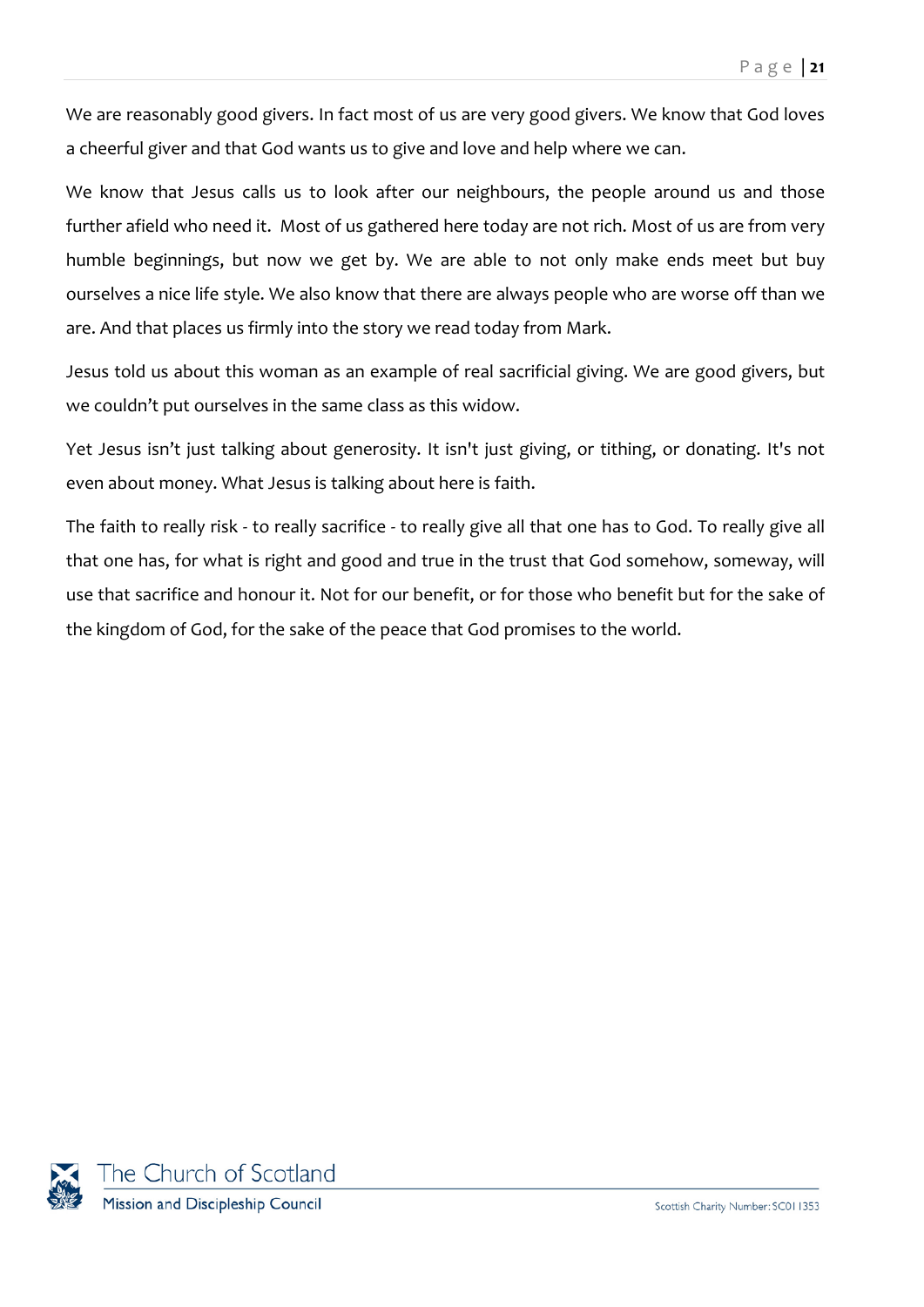We are reasonably good givers. In fact most of us are very good givers. We know that God loves a cheerful giver and that God wants us to give and love and help where we can.

We know that Jesus calls us to look after our neighbours, the people around us and those further afield who need it. Most of us gathered here today are not rich. Most of us are from very humble beginnings, but now we get by. We are able to not only make ends meet but buy ourselves a nice life style. We also know that there are always people who are worse off than we are. And that places us firmly into the story we read today from Mark.

Jesus told us about this woman as an example of real sacrificial giving. We are good givers, but we couldn't put ourselves in the same class as this widow.

Yet Jesus isn't just talking about generosity. It isn't just giving, or tithing, or donating. It's not even about money. What Jesus is talking about here is faith.

The faith to really risk - to really sacrifice - to really give all that one has to God. To really give all that one has, for what is right and good and true in the trust that God somehow, someway, will use that sacrifice and honour it. Not for our benefit, or for those who benefit but for the sake of the kingdom of God, for the sake of the peace that God promises to the world.

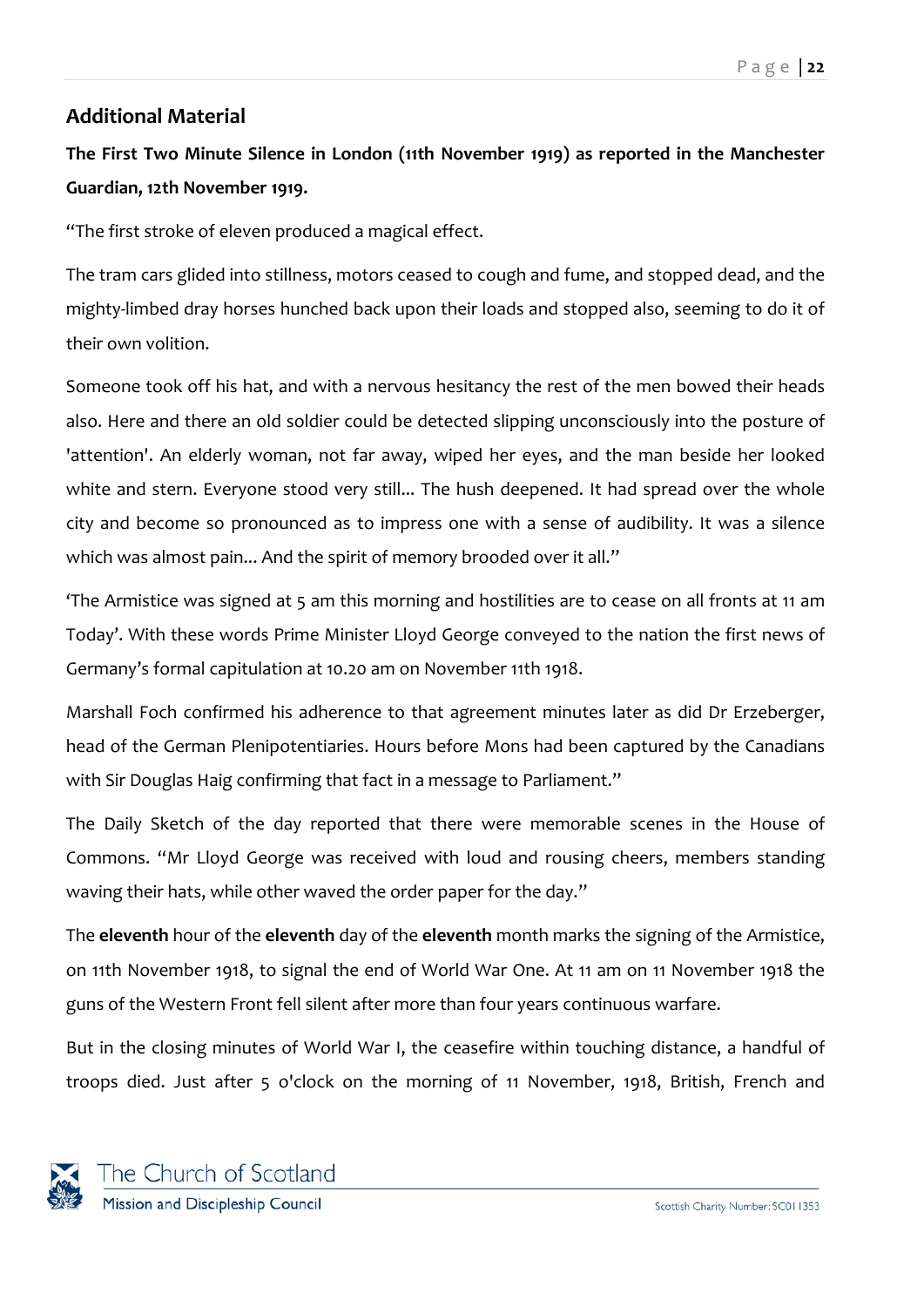# <span id="page-21-0"></span>**Additional Material**

# **The First Two Minute Silence in London (11th November 1919) as reported in the Manchester Guardian, 12th November 1919.**

"The first stroke of eleven produced a magical effect.

The tram cars glided into stillness, motors ceased to cough and fume, and stopped dead, and the mighty-limbed dray horses hunched back upon their loads and stopped also, seeming to do it of their own volition.

Someone took off his hat, and with a nervous hesitancy the rest of the men bowed their heads also. Here and there an old soldier could be detected slipping unconsciously into the posture of 'attention'. An elderly woman, not far away, wiped her eyes, and the man beside her looked white and stern. Everyone stood very still... The hush deepened. It had spread over the whole city and become so pronounced as to impress one with a sense of audibility. It was a silence which was almost pain... And the spirit of memory brooded over it all."

'The Armistice was signed at 5 am this morning and hostilities are to cease on all fronts at 11 am Today'. With these words Prime Minister Lloyd George conveyed to the nation the first news of Germany's formal capitulation at 10.20 am on November 11th 1918.

Marshall Foch confirmed his adherence to that agreement minutes later as did Dr Erzeberger, head of the German Plenipotentiaries. Hours before Mons had been captured by the Canadians with Sir Douglas Haig confirming that fact in a message to Parliament."

The Daily Sketch of the day reported that there were memorable scenes in the House of Commons. "Mr Lloyd George was received with loud and rousing cheers, members standing waving their hats, while other waved the order paper for the day."

The **eleventh** hour of the **eleventh** day of the **eleventh** month marks the signing of the Armistice, on 11th November 1918, to signal the end of World War One. At 11 am on 11 November 1918 the guns of the Western Front fell silent after more than four years continuous warfare.

But in the closing minutes of World War I, the ceasefire within touching distance, a handful of troops died. Just after 5 o'clock on the morning of 11 November, 1918, British, French and

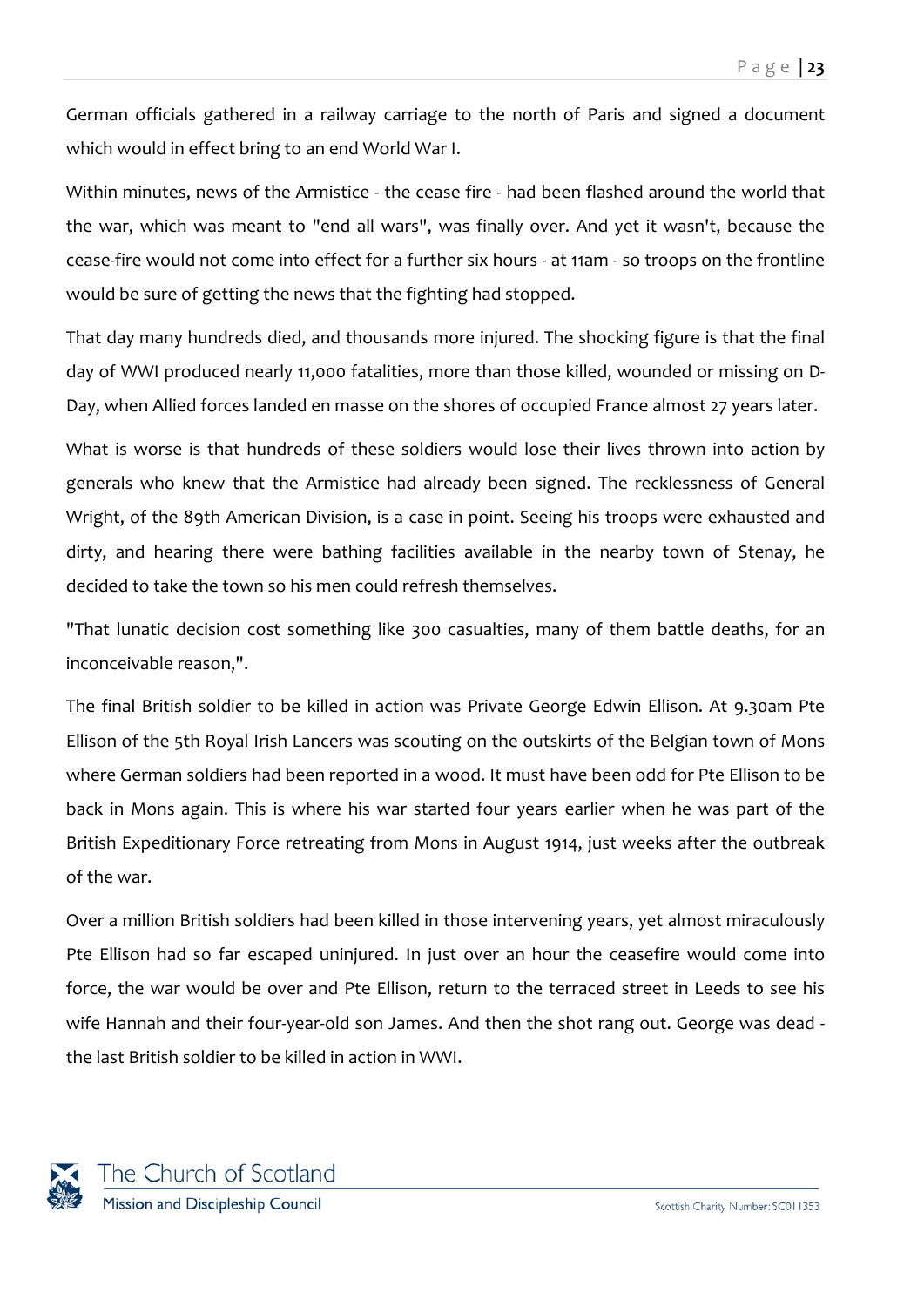German officials gathered in a railway carriage to the north of Paris and signed a document which would in effect bring to an end World War I.

Within minutes, news of the Armistice - the cease fire - had been flashed around the world that the war, which was meant to "end all wars", was finally over. And yet it wasn't, because the cease-fire would not come into effect for a further six hours - at 11am - so troops on the frontline would be sure of getting the news that the fighting had stopped.

That day many hundreds died, and thousands more injured. The shocking figure is that the final day of WWI produced nearly 11,000 fatalities, more than those killed, wounded or missing on D-Day, when Allied forces landed en masse on the shores of occupied France almost 27 years later.

What is worse is that hundreds of these soldiers would lose their lives thrown into action by generals who knew that the Armistice had already been signed. The recklessness of General Wright, of the 89th American Division, is a case in point. Seeing his troops were exhausted and dirty, and hearing there were bathing facilities available in the nearby town of Stenay, he decided to take the town so his men could refresh themselves.

"That lunatic decision cost something like 300 casualties, many of them battle deaths, for an inconceivable reason,".

The final British soldier to be killed in action was Private George Edwin Ellison. At 9.30am Pte Ellison of the 5th Royal Irish Lancers was scouting on the outskirts of the Belgian town of Mons where German soldiers had been reported in a wood. It must have been odd for Pte Ellison to be back in Mons again. This is where his war started four years earlier when he was part of the British Expeditionary Force retreating from Mons in August 1914, just weeks after the outbreak of the war.

Over a million British soldiers had been killed in those intervening years, yet almost miraculously Pte Ellison had so far escaped uninjured. In just over an hour the ceasefire would come into force, the war would be over and Pte Ellison, return to the terraced street in Leeds to see his wife Hannah and their four-year-old son James. And then the shot rang out. George was dead the last British soldier to be killed in action in WWI.

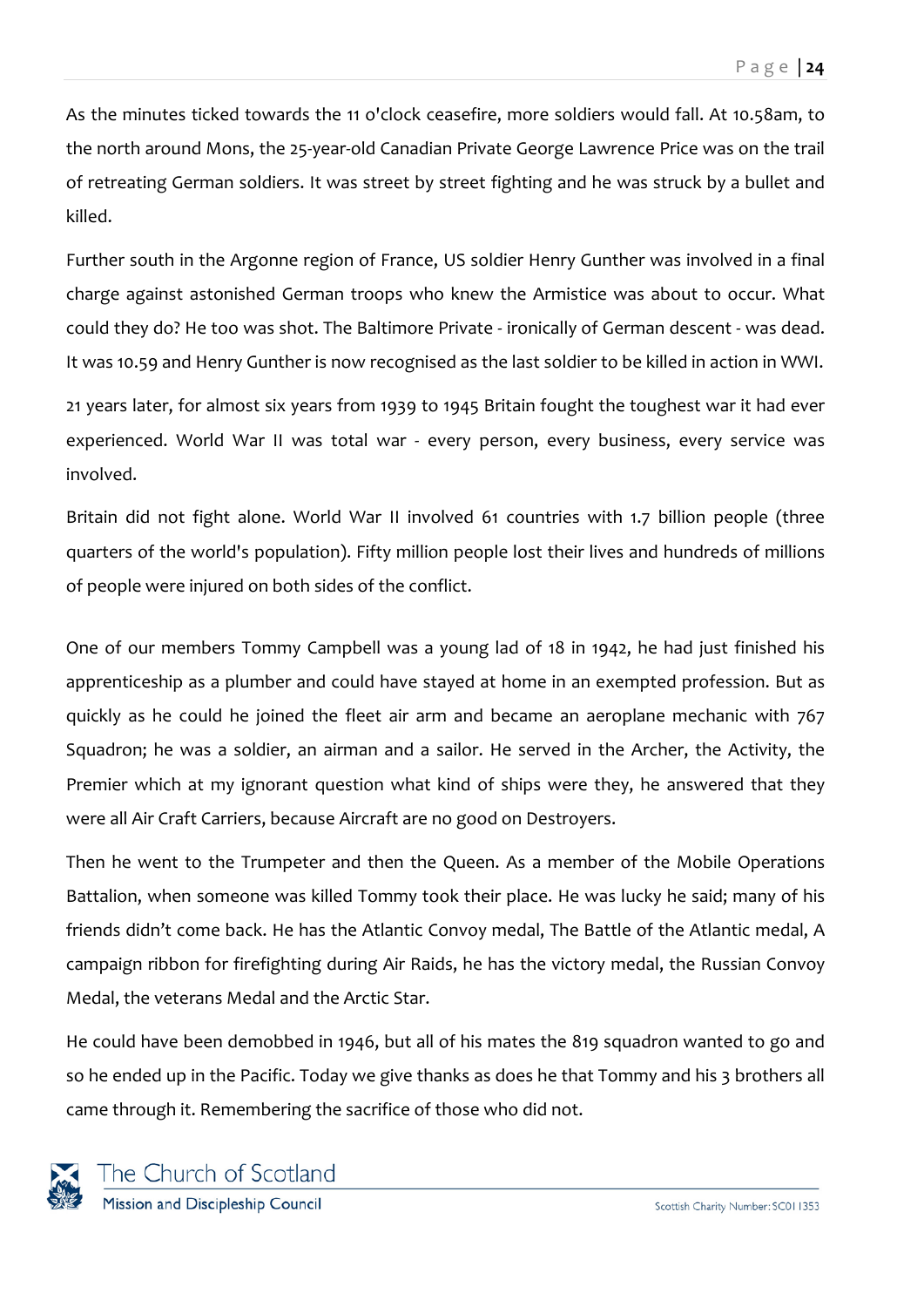As the minutes ticked towards the 11 o'clock ceasefire, more soldiers would fall. At 10.58am, to the north around Mons, the 25-year-old Canadian Private George Lawrence Price was on the trail of retreating German soldiers. It was street by street fighting and he was struck by a bullet and killed.

Further south in the Argonne region of France, US soldier Henry Gunther was involved in a final charge against astonished German troops who knew the Armistice was about to occur. What could they do? He too was shot. The Baltimore Private - ironically of German descent - was dead. It was 10.59 and Henry Gunther is now recognised as the last soldier to be killed in action in WWI.

21 years later, for almost six years from 1939 to 1945 Britain fought the toughest war it had ever experienced. World War II was total war - every person, every business, every service was involved.

Britain did not fight alone. World War II involved 61 countries with 1.7 billion people (three quarters of the world's population). Fifty million people lost their lives and hundreds of millions of people were injured on both sides of the conflict.

One of our members Tommy Campbell was a young lad of 18 in 1942, he had just finished his apprenticeship as a plumber and could have stayed at home in an exempted profession. But as quickly as he could he joined the fleet air arm and became an aeroplane mechanic with 767 Squadron; he was a soldier, an airman and a sailor. He served in the Archer, the Activity, the Premier which at my ignorant question what kind of ships were they, he answered that they were all Air Craft Carriers, because Aircraft are no good on Destroyers.

Then he went to the Trumpeter and then the Queen. As a member of the Mobile Operations Battalion, when someone was killed Tommy took their place. He was lucky he said; many of his friends didn't come back. He has the Atlantic Convoy medal, The Battle of the Atlantic medal, A campaign ribbon for firefighting during Air Raids, he has the victory medal, the Russian Convoy Medal, the veterans Medal and the Arctic Star.

He could have been demobbed in 1946, but all of his mates the 819 squadron wanted to go and so he ended up in the Pacific. Today we give thanks as does he that Tommy and his 3 brothers all came through it. Remembering the sacrifice of those who did not.

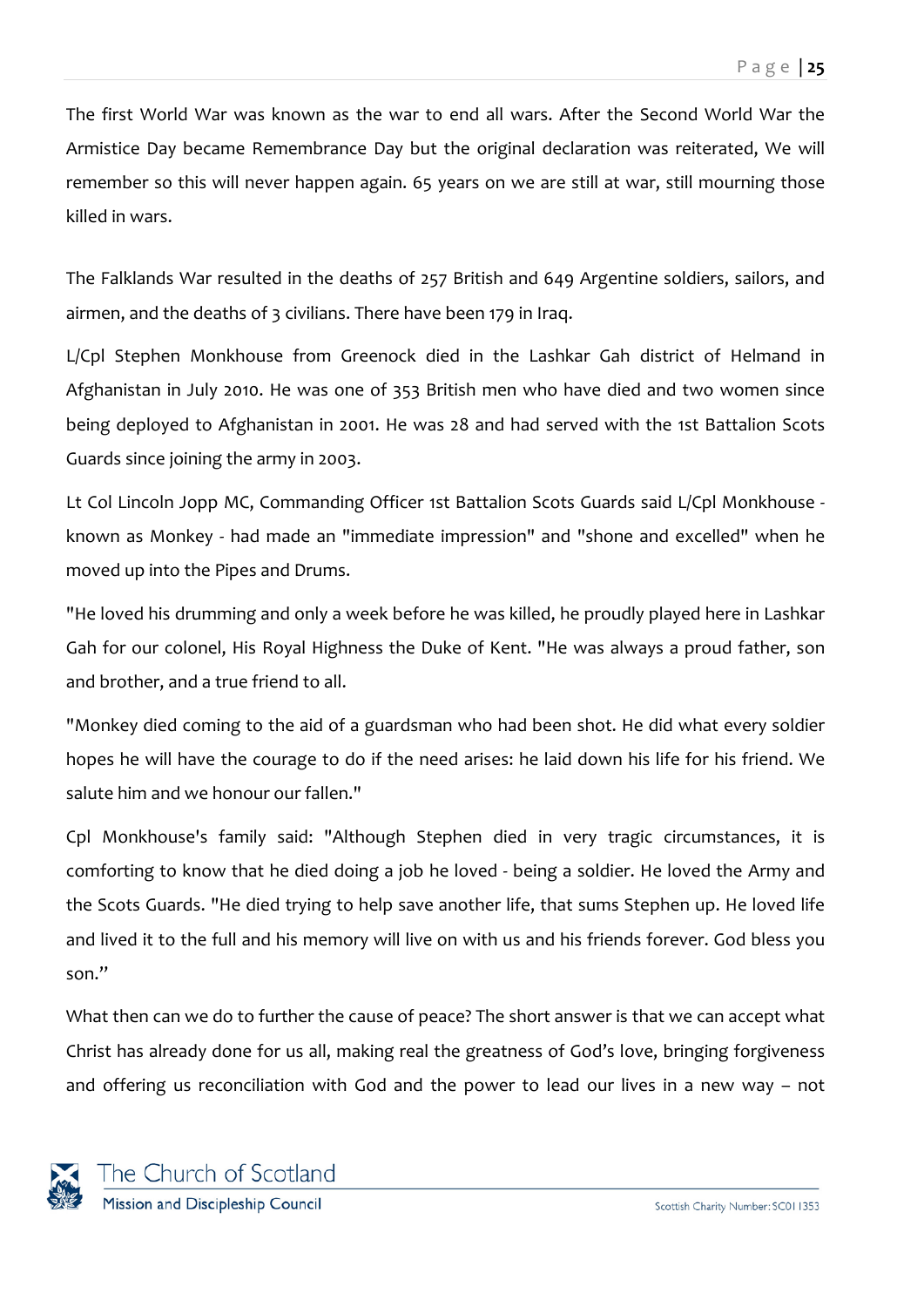The first World War was known as the war to end all wars. After the Second World War the Armistice Day became Remembrance Day but the original declaration was reiterated, We will remember so this will never happen again. 65 years on we are still at war, still mourning those killed in wars.

The Falklands War resulted in the deaths of 257 British and 649 Argentine soldiers, sailors, and airmen, and the deaths of 3 civilians. There have been 179 in Iraq.

L/Cpl Stephen Monkhouse from Greenock died in the Lashkar Gah district of Helmand in Afghanistan in July 2010. He was one of 353 British men who have died and two women since being deployed to Afghanistan in 2001. He was 28 and had served with the 1st Battalion Scots Guards since joining the army in 2003.

Lt Col Lincoln Jopp MC, Commanding Officer 1st Battalion Scots Guards said L/Cpl Monkhouse known as Monkey - had made an "immediate impression" and "shone and excelled" when he moved up into the Pipes and Drums.

"He loved his drumming and only a week before he was killed, he proudly played here in Lashkar Gah for our colonel, His Royal Highness the Duke of Kent. "He was always a proud father, son and brother, and a true friend to all.

"Monkey died coming to the aid of a guardsman who had been shot. He did what every soldier hopes he will have the courage to do if the need arises: he laid down his life for his friend. We salute him and we honour our fallen."

Cpl Monkhouse's family said: "Although Stephen died in very tragic circumstances, it is comforting to know that he died doing a job he loved - being a soldier. He loved the Army and the Scots Guards. "He died trying to help save another life, that sums Stephen up. He loved life and lived it to the full and his memory will live on with us and his friends forever. God bless you son."

What then can we do to further the cause of peace? The short answer is that we can accept what Christ has already done for us all, making real the greatness of God's love, bringing forgiveness and offering us reconciliation with God and the power to lead our lives in a new way – not

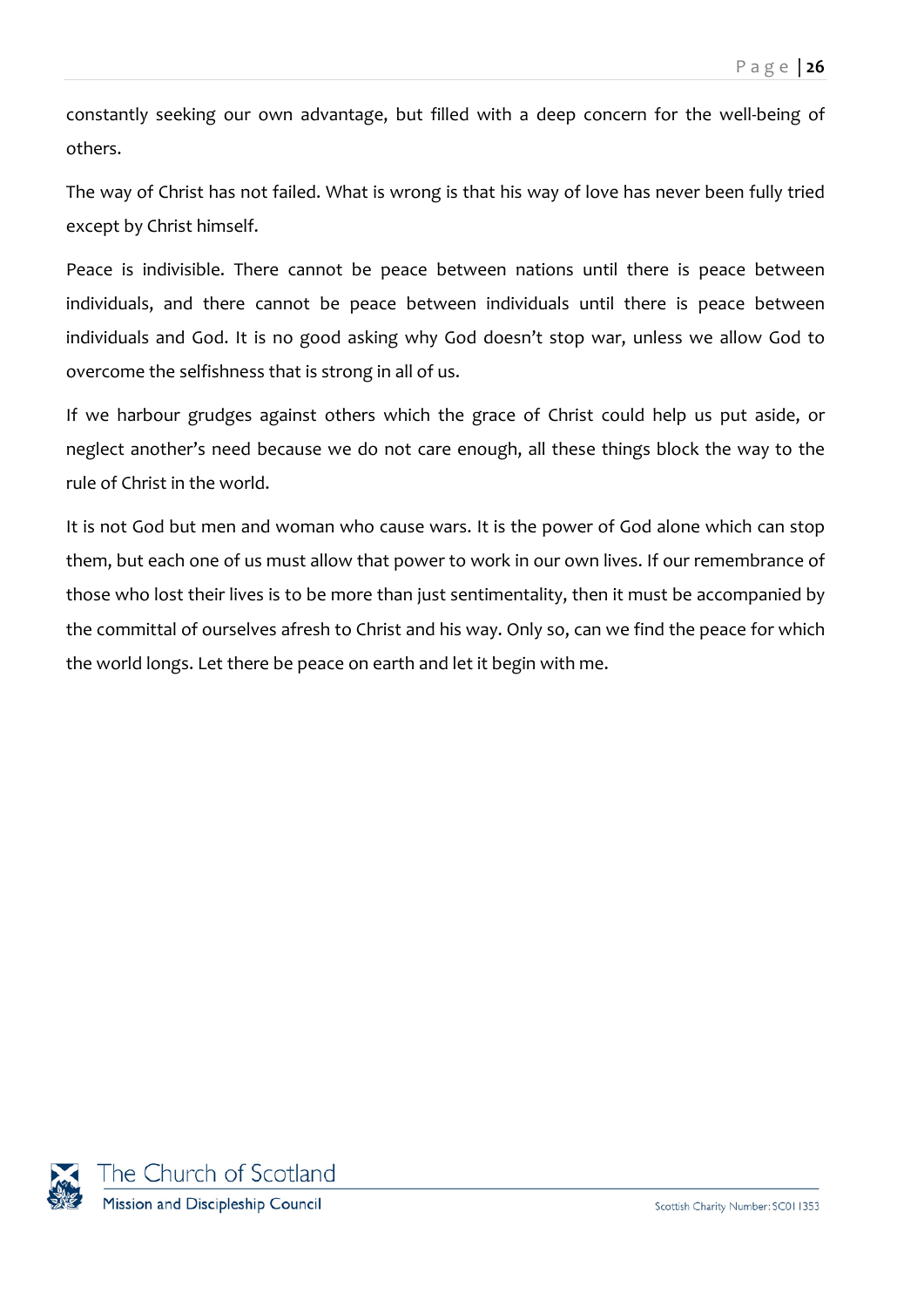constantly seeking our own advantage, but filled with a deep concern for the well-being of others.

The way of Christ has not failed. What is wrong is that his way of love has never been fully tried except by Christ himself.

Peace is indivisible. There cannot be peace between nations until there is peace between individuals, and there cannot be peace between individuals until there is peace between individuals and God. It is no good asking why God doesn't stop war, unless we allow God to overcome the selfishness that is strong in all of us.

If we harbour grudges against others which the grace of Christ could help us put aside, or neglect another's need because we do not care enough, all these things block the way to the rule of Christ in the world.

It is not God but men and woman who cause wars. It is the power of God alone which can stop them, but each one of us must allow that power to work in our own lives. If our remembrance of those who lost their lives is to be more than just sentimentality, then it must be accompanied by the committal of ourselves afresh to Christ and his way. Only so, can we find the peace for which the world longs. Let there be peace on earth and let it begin with me.